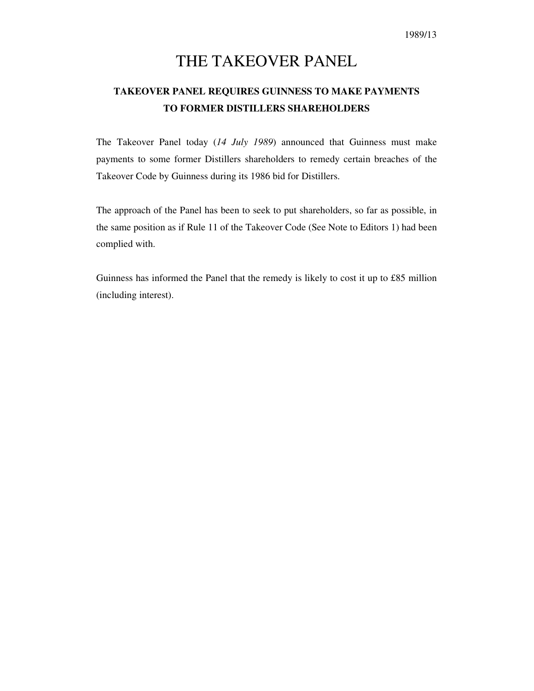# THE TAKEOVER PANEL

## **TAKEOVER PANEL REQUIRES GUINNESS TO MAKE PAYMENTS TO FORMER DISTILLERS SHAREHOLDERS**

The Takeover Panel today (*14 July 1989*) announced that Guinness must make payments to some former Distillers shareholders to remedy certain breaches of the Takeover Code by Guinness during its 1986 bid for Distillers.

The approach of the Panel has been to seek to put shareholders, so far as possible, in the same position as if Rule 11 of the Takeover Code (See Note to Editors 1) had been complied with.

Guinness has informed the Panel that the remedy is likely to cost it up to £85 million (including interest).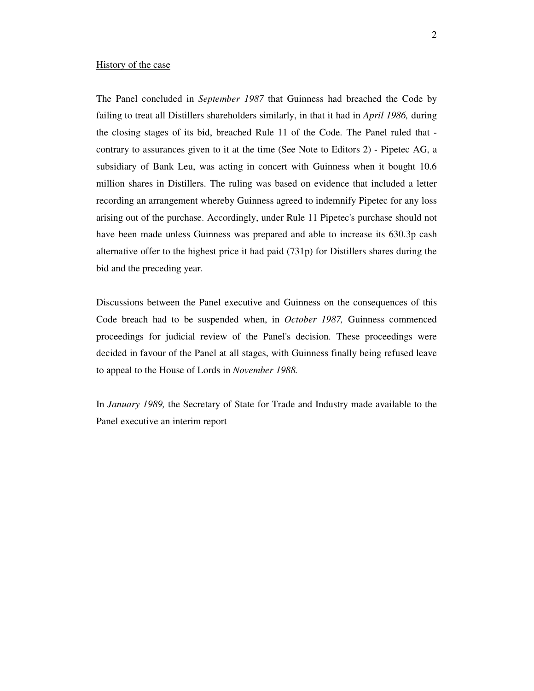#### History of the case

The Panel concluded in *September 1987* that Guinness had breached the Code by failing to treat all Distillers shareholders similarly, in that it had in *April 1986,* during the closing stages of its bid, breached Rule 11 of the Code. The Panel ruled that contrary to assurances given to it at the time (See Note to Editors 2) - Pipetec AG, a subsidiary of Bank Leu, was acting in concert with Guinness when it bought 10.6 million shares in Distillers. The ruling was based on evidence that included a letter recording an arrangement whereby Guinness agreed to indemnify Pipetec for any loss arising out of the purchase. Accordingly, under Rule 11 Pipetec's purchase should not have been made unless Guinness was prepared and able to increase its 630.3p cash alternative offer to the highest price it had paid (731p) for Distillers shares during the bid and the preceding year.

Discussions between the Panel executive and Guinness on the consequences of this Code breach had to be suspended when, in *October 1987,* Guinness commenced proceedings for judicial review of the Panel's decision. These proceedings were decided in favour of the Panel at all stages, with Guinness finally being refused leave to appeal to the House of Lords in *November 1988.*

In *January 1989,* the Secretary of State for Trade and Industry made available to the Panel executive an interim report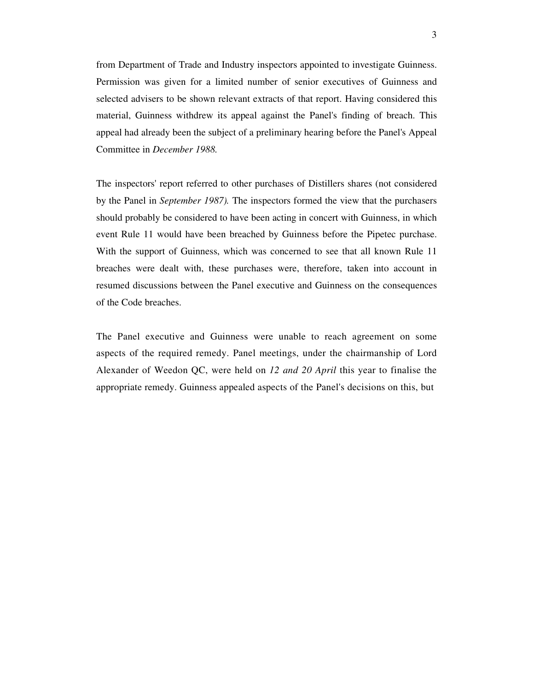from Department of Trade and Industry inspectors appointed to investigate Guinness. Permission was given for a limited number of senior executives of Guinness and selected advisers to be shown relevant extracts of that report. Having considered this material, Guinness withdrew its appeal against the Panel's finding of breach. This appeal had already been the subject of a preliminary hearing before the Panel's Appeal Committee in *December 1988.*

The inspectors' report referred to other purchases of Distillers shares (not considered by the Panel in *September 1987).* The inspectors formed the view that the purchasers should probably be considered to have been acting in concert with Guinness, in which event Rule 11 would have been breached by Guinness before the Pipetec purchase. With the support of Guinness, which was concerned to see that all known Rule 11 breaches were dealt with, these purchases were, therefore, taken into account in resumed discussions between the Panel executive and Guinness on the consequences of the Code breaches.

The Panel executive and Guinness were unable to reach agreement on some aspects of the required remedy. Panel meetings, under the chairmanship of Lord Alexander of Weedon QC, were held on *12 and 20 April* this year to finalise the appropriate remedy. Guinness appealed aspects of the Panel's decisions on this, but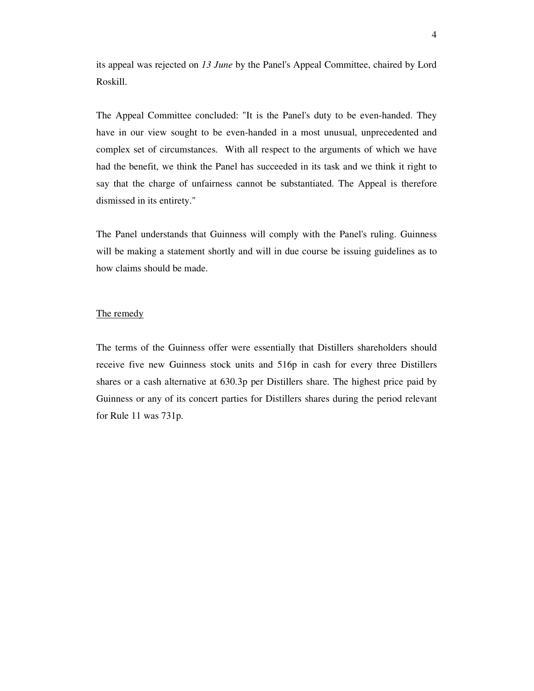its appeal was rejected on *13 June* by the Panel's Appeal Committee, chaired by Lord Roskill.

The Appeal Committee concluded: "It is the Panel's duty to be even-handed. They have in our view sought to be even-handed in a most unusual, unprecedented and complex set of circumstances. With all respect to the arguments of which we have had the benefit, we think the Panel has succeeded in its task and we think it right to say that the charge of unfairness cannot be substantiated. The Appeal is therefore dismissed in its entirety."

The Panel understands that Guinness will comply with the Panel's ruling. Guinness will be making a statement shortly and will in due course be issuing guidelines as to how claims should be made.

#### The remedy

The terms of the Guinness offer were essentially that Distillers shareholders should receive five new Guinness stock units and 516p in cash for every three Distillers shares or a cash alternative at 630.3p per Distillers share. The highest price paid by Guinness or any of its concert parties for Distillers shares during the period relevant for Rule 11 was 731p.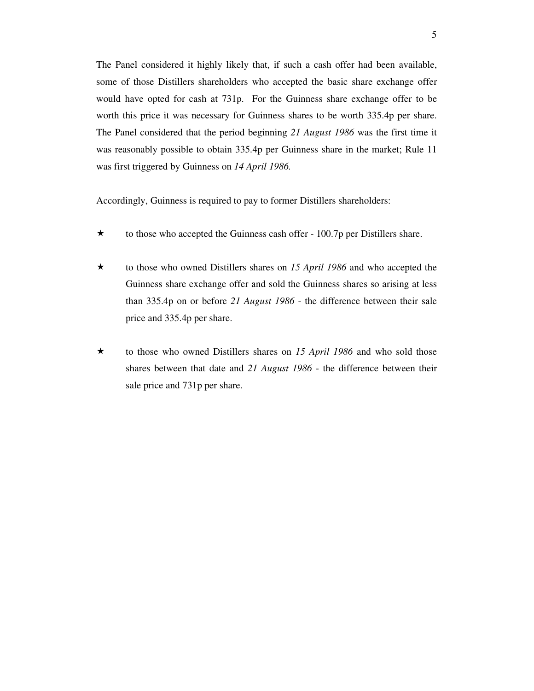The Panel considered it highly likely that, if such a cash offer had been available, some of those Distillers shareholders who accepted the basic share exchange offer would have opted for cash at 731p. For the Guinness share exchange offer to be worth this price it was necessary for Guinness shares to be worth 335.4p per share. The Panel considered that the period beginning *21 August 1986* was the first time it was reasonably possible to obtain 335.4p per Guinness share in the market; Rule 11 was first triggered by Guinness on *14 April 1986.*

Accordingly, Guinness is required to pay to former Distillers shareholders:

- $\star$ to those who accepted the Guinness cash offer - 100.7p per Distillers share.
- $\star$  to those who owned Distillers shares on *15 April 1986* and who accepted the Guinness share exchange offer and sold the Guinness shares so arising at less than 335.4p on or before *21 August 1986* - the difference between their sale price and 335.4p per share.
- $\star$  to those who owned Distillers shares on *15 April 1986* and who sold those shares between that date and *21 August 1986* - the difference between their sale price and 731p per share.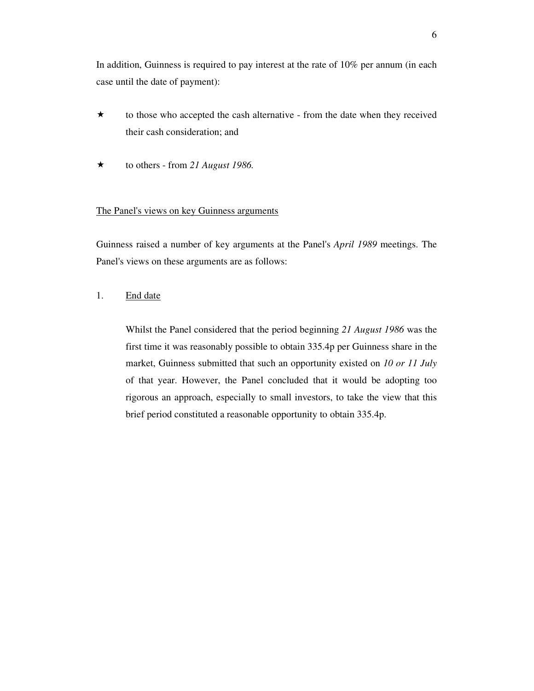In addition, Guinness is required to pay interest at the rate of 10% per annum (in each case until the date of payment):

- $\star$  to those who accepted the cash alternative - from the date when they received their cash consideration; and
- $\star$ to others - from *21 August 1986.*

## The Panel's views on key Guinness arguments

Guinness raised a number of key arguments at the Panel's *April 1989* meetings. The Panel's views on these arguments are as follows:

## 1. End date

Whilst the Panel considered that the period beginning *21 August 1986* was the first time it was reasonably possible to obtain 335.4p per Guinness share in the market, Guinness submitted that such an opportunity existed on *10 or 11 July* of that year. However, the Panel concluded that it would be adopting too rigorous an approach, especially to small investors, to take the view that this brief period constituted a reasonable opportunity to obtain 335.4p.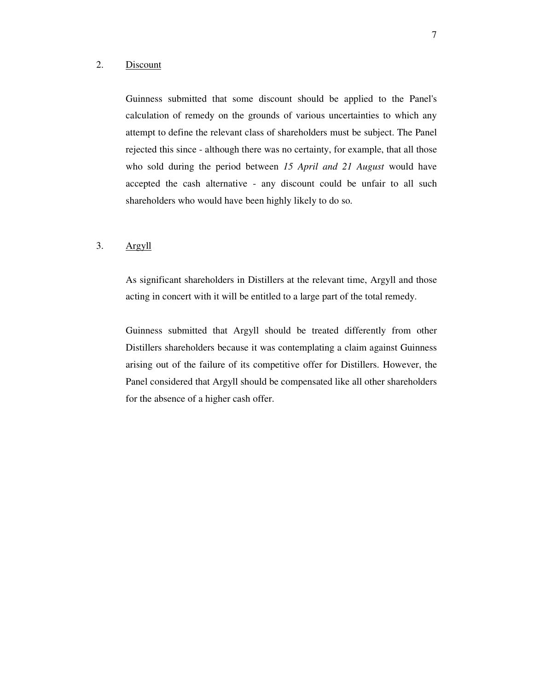## 2. Discount

Guinness submitted that some discount should be applied to the Panel's calculation of remedy on the grounds of various uncertainties to which any attempt to define the relevant class of shareholders must be subject. The Panel rejected this since - although there was no certainty, for example, that all those who sold during the period between *15 April and 21 August* would have accepted the cash alternative - any discount could be unfair to all such shareholders who would have been highly likely to do so.

## 3. Argyll

As significant shareholders in Distillers at the relevant time, Argyll and those acting in concert with it will be entitled to a large part of the total remedy.

Guinness submitted that Argyll should be treated differently from other Distillers shareholders because it was contemplating a claim against Guinness arising out of the failure of its competitive offer for Distillers. However, the Panel considered that Argyll should be compensated like all other shareholders for the absence of a higher cash offer.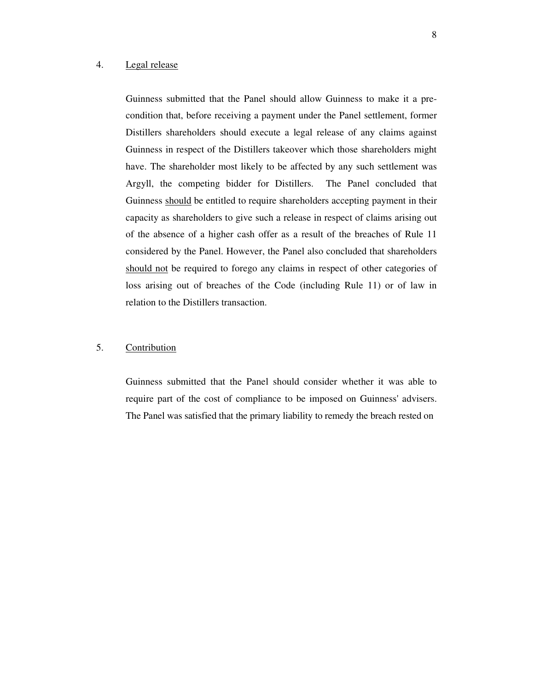#### 4. Legal release

Guinness submitted that the Panel should allow Guinness to make it a precondition that, before receiving a payment under the Panel settlement, former Distillers shareholders should execute a legal release of any claims against Guinness in respect of the Distillers takeover which those shareholders might have. The shareholder most likely to be affected by any such settlement was Argyll, the competing bidder for Distillers. The Panel concluded that Guinness should be entitled to require shareholders accepting payment in their capacity as shareholders to give such a release in respect of claims arising out of the absence of a higher cash offer as a result of the breaches of Rule 11 considered by the Panel. However, the Panel also concluded that shareholders should not be required to forego any claims in respect of other categories of loss arising out of breaches of the Code (including Rule 11) or of law in relation to the Distillers transaction.

## 5. Contribution

Guinness submitted that the Panel should consider whether it was able to require part of the cost of compliance to be imposed on Guinness' advisers. The Panel was satisfied that the primary liability to remedy the breach rested on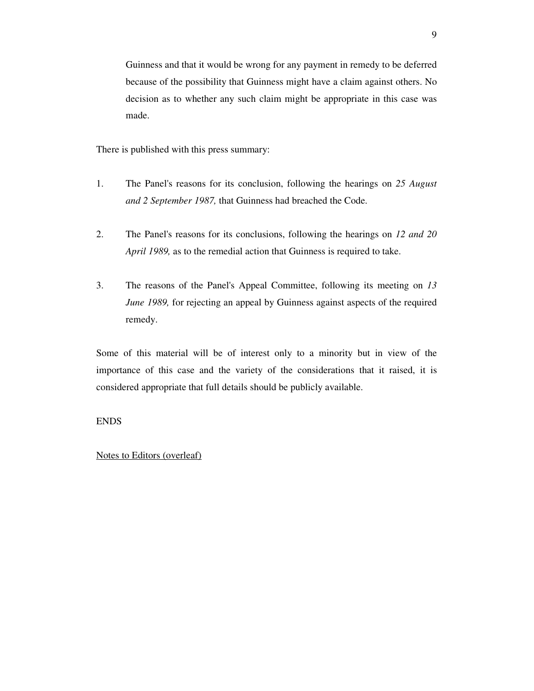Guinness and that it would be wrong for any payment in remedy to be deferred because of the possibility that Guinness might have a claim against others. No decision as to whether any such claim might be appropriate in this case was made.

There is published with this press summary:

- 1. The Panel's reasons for its conclusion, following the hearings on *25 August and 2 September 1987,* that Guinness had breached the Code.
- 2. The Panel's reasons for its conclusions, following the hearings on *12 and 20 April 1989,* as to the remedial action that Guinness is required to take.
- 3. The reasons of the Panel's Appeal Committee, following its meeting on *13 June* 1989, for rejecting an appeal by Guinness against aspects of the required remedy.

Some of this material will be of interest only to a minority but in view of the importance of this case and the variety of the considerations that it raised, it is considered appropriate that full details should be publicly available.

## ENDS

## Notes to Editors (overleaf)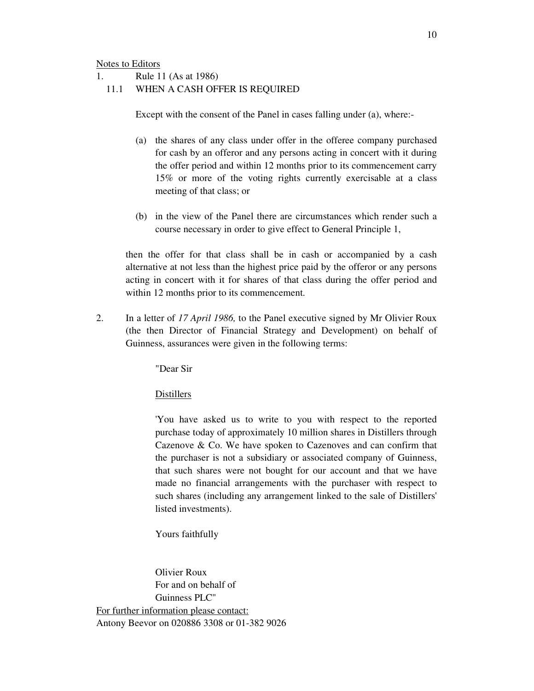Notes to Editors

1. Rule 11 (As at 1986)

11.1 WHEN A CASH OFFER IS REQUIRED

Except with the consent of the Panel in cases falling under (a), where:-

- (a) the shares of any class under offer in the offeree company purchased for cash by an offeror and any persons acting in concert with it during the offer period and within 12 months prior to its commencement carry 15% or more of the voting rights currently exercisable at a class meeting of that class; or
- (b) in the view of the Panel there are circumstances which render such a course necessary in order to give effect to General Principle 1,

then the offer for that class shall be in cash or accompanied by a cash alternative at not less than the highest price paid by the offeror or any persons acting in concert with it for shares of that class during the offer period and within 12 months prior to its commencement.

2. In a letter of *17 April 1986,* to the Panel executive signed by Mr Olivier Roux (the then Director of Financial Strategy and Development) on behalf of Guinness, assurances were given in the following terms:

"Dear Sir

## Distillers

'You have asked us to write to you with respect to the reported purchase today of approximately 10 million shares in Distillers through Cazenove & Co. We have spoken to Cazenoves and can confirm that the purchaser is not a subsidiary or associated company of Guinness, that such shares were not bought for our account and that we have made no financial arrangements with the purchaser with respect to such shares (including any arrangement linked to the sale of Distillers' listed investments).

Yours faithfully

Olivier Roux For and on behalf of Guinness PLC" For further information please contact: Antony Beevor on 020886 3308 or 01-382 9026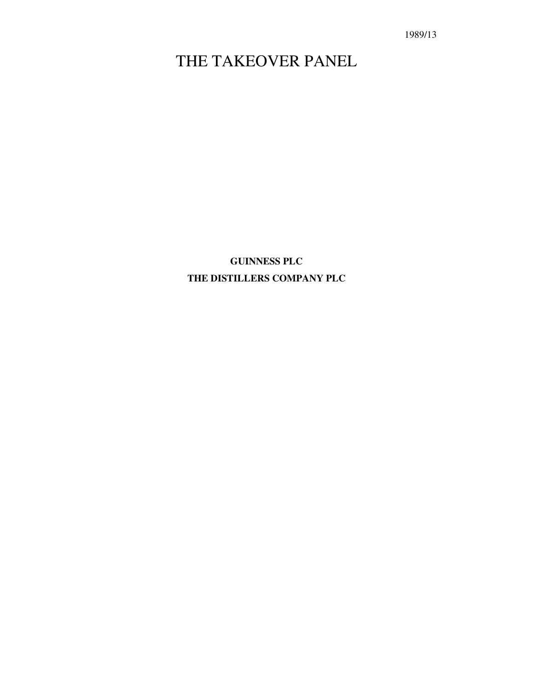# THE TAKEOVER PANEL

**GUINNESS PLC THE DISTILLERS COMPANY PLC**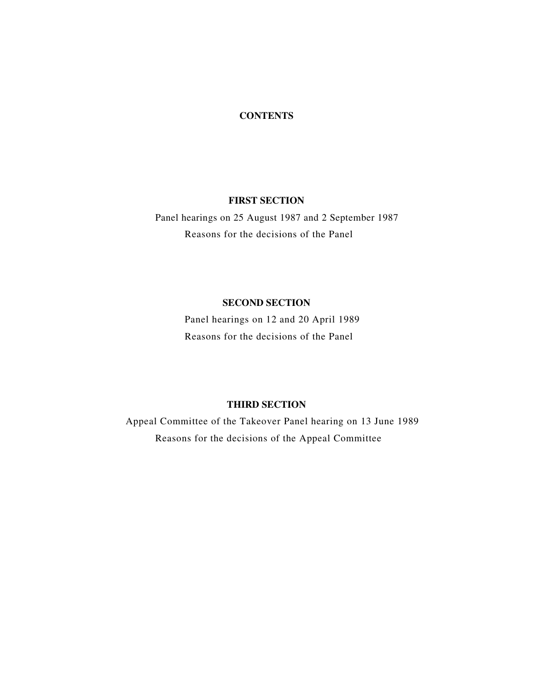## **CONTENTS**

## **FIRST SECTION**

Panel hearings on 25 August 1987 and 2 September 1987 Reasons for the decisions of the Panel

## **SECOND SECTION**

Panel hearings on 12 and 20 April 1989 Reasons for the decisions of the Panel

## **THIRD SECTION**

Appeal Committee of the Takeover Panel hearing on 13 June 1989 Reasons for the decisions of the Appeal Committee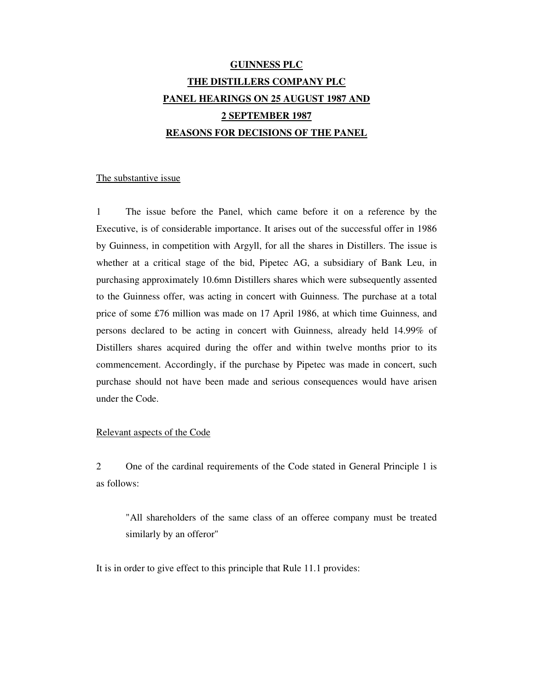## **GUINNESS PLC THE DISTILLERS COMPANY PLC PANEL HEARINGS ON 25 AUGUST 1987 AND 2 SEPTEMBER 1987 REASONS FOR DECISIONS OF THE PANEL**

#### The substantive issue

1 The issue before the Panel, which came before it on a reference by the Executive, is of considerable importance. It arises out of the successful offer in 1986 by Guinness, in competition with Argyll, for all the shares in Distillers. The issue is whether at a critical stage of the bid, Pipetec AG, a subsidiary of Bank Leu, in purchasing approximately 10.6mn Distillers shares which were subsequently assented to the Guinness offer, was acting in concert with Guinness. The purchase at a total price of some £76 million was made on 17 April 1986, at which time Guinness, and persons declared to be acting in concert with Guinness, already held 14.99% of Distillers shares acquired during the offer and within twelve months prior to its commencement. Accordingly, if the purchase by Pipetec was made in concert, such purchase should not have been made and serious consequences would have arisen under the Code.

#### Relevant aspects of the Code

2 One of the cardinal requirements of the Code stated in General Principle 1 is as follows:

"All shareholders of the same class of an offeree company must be treated similarly by an offeror"

It is in order to give effect to this principle that Rule 11.1 provides: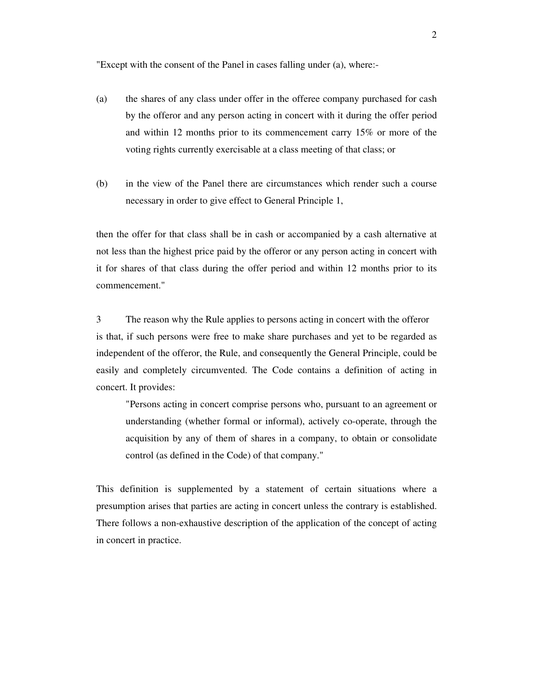"Except with the consent of the Panel in cases falling under (a), where:-

- (a) the shares of any class under offer in the offeree company purchased for cash by the offeror and any person acting in concert with it during the offer period and within 12 months prior to its commencement carry 15% or more of the voting rights currently exercisable at a class meeting of that class; or
- (b) in the view of the Panel there are circumstances which render such a course necessary in order to give effect to General Principle 1,

then the offer for that class shall be in cash or accompanied by a cash alternative at not less than the highest price paid by the offeror or any person acting in concert with it for shares of that class during the offer period and within 12 months prior to its commencement."

3 The reason why the Rule applies to persons acting in concert with the offeror is that, if such persons were free to make share purchases and yet to be regarded as independent of the offeror, the Rule, and consequently the General Principle, could be easily and completely circumvented. The Code contains a definition of acting in concert. It provides:

"Persons acting in concert comprise persons who, pursuant to an agreement or understanding (whether formal or informal), actively co-operate, through the acquisition by any of them of shares in a company, to obtain or consolidate control (as defined in the Code) of that company."

This definition is supplemented by a statement of certain situations where a presumption arises that parties are acting in concert unless the contrary is established. There follows a non-exhaustive description of the application of the concept of acting in concert in practice.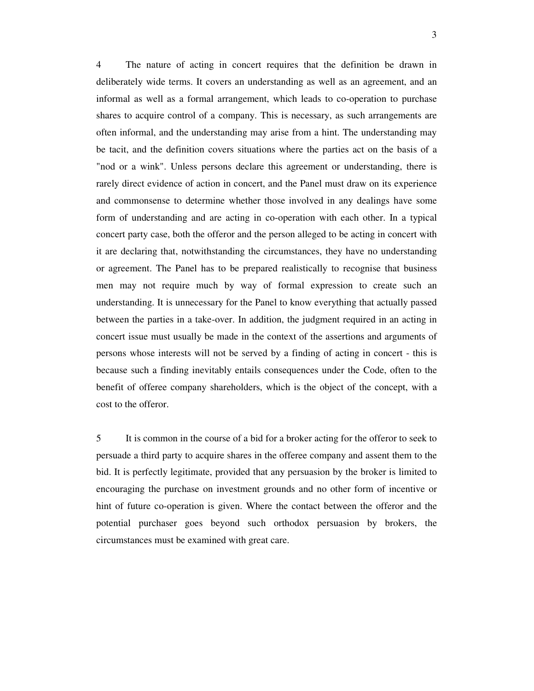4 The nature of acting in concert requires that the definition be drawn in deliberately wide terms. It covers an understanding as well as an agreement, and an informal as well as a formal arrangement, which leads to co-operation to purchase shares to acquire control of a company. This is necessary, as such arrangements are often informal, and the understanding may arise from a hint. The understanding may be tacit, and the definition covers situations where the parties act on the basis of a "nod or a wink". Unless persons declare this agreement or understanding, there is rarely direct evidence of action in concert, and the Panel must draw on its experience and commonsense to determine whether those involved in any dealings have some form of understanding and are acting in co-operation with each other. In a typical concert party case, both the offeror and the person alleged to be acting in concert with it are declaring that, notwithstanding the circumstances, they have no understanding or agreement. The Panel has to be prepared realistically to recognise that business men may not require much by way of formal expression to create such an understanding. It is unnecessary for the Panel to know everything that actually passed between the parties in a take-over. In addition, the judgment required in an acting in concert issue must usually be made in the context of the assertions and arguments of persons whose interests will not be served by a finding of acting in concert - this is because such a finding inevitably entails consequences under the Code, often to the benefit of offeree company shareholders, which is the object of the concept, with a cost to the offeror.

5 It is common in the course of a bid for a broker acting for the offeror to seek to persuade a third party to acquire shares in the offeree company and assent them to the bid. It is perfectly legitimate, provided that any persuasion by the broker is limited to encouraging the purchase on investment grounds and no other form of incentive or hint of future co-operation is given. Where the contact between the offeror and the potential purchaser goes beyond such orthodox persuasion by brokers, the circumstances must be examined with great care.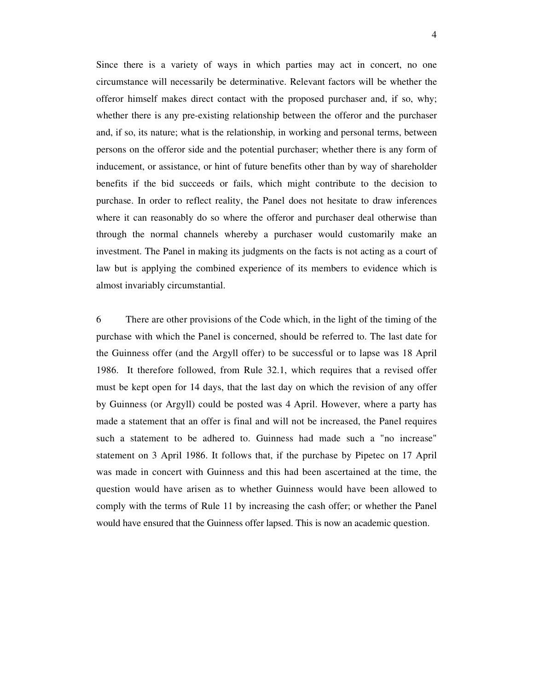Since there is a variety of ways in which parties may act in concert, no one circumstance will necessarily be determinative. Relevant factors will be whether the offeror himself makes direct contact with the proposed purchaser and, if so, why; whether there is any pre-existing relationship between the offeror and the purchaser and, if so, its nature; what is the relationship, in working and personal terms, between persons on the offeror side and the potential purchaser; whether there is any form of inducement, or assistance, or hint of future benefits other than by way of shareholder benefits if the bid succeeds or fails, which might contribute to the decision to purchase. In order to reflect reality, the Panel does not hesitate to draw inferences where it can reasonably do so where the offeror and purchaser deal otherwise than through the normal channels whereby a purchaser would customarily make an investment. The Panel in making its judgments on the facts is not acting as a court of law but is applying the combined experience of its members to evidence which is almost invariably circumstantial.

6 There are other provisions of the Code which, in the light of the timing of the purchase with which the Panel is concerned, should be referred to. The last date for the Guinness offer (and the Argyll offer) to be successful or to lapse was 18 April 1986. It therefore followed, from Rule 32.1, which requires that a revised offer must be kept open for 14 days, that the last day on which the revision of any offer by Guinness (or Argyll) could be posted was 4 April. However, where a party has made a statement that an offer is final and will not be increased, the Panel requires such a statement to be adhered to. Guinness had made such a "no increase" statement on 3 April 1986. It follows that, if the purchase by Pipetec on 17 April was made in concert with Guinness and this had been ascertained at the time, the question would have arisen as to whether Guinness would have been allowed to comply with the terms of Rule 11 by increasing the cash offer; or whether the Panel would have ensured that the Guinness offer lapsed. This is now an academic question.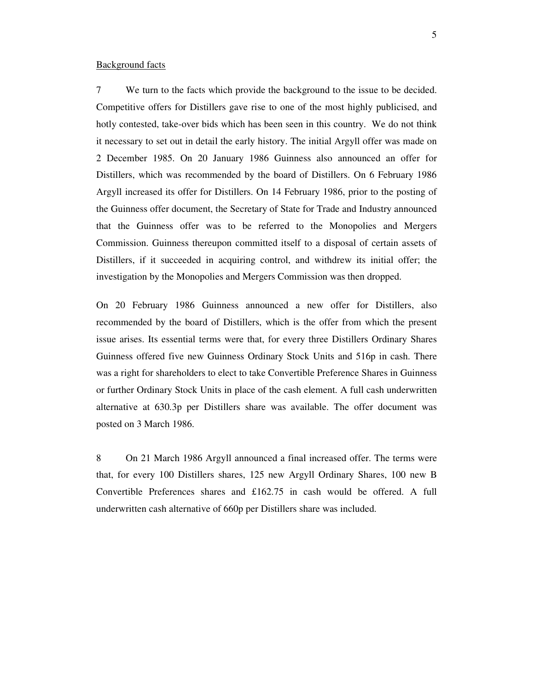#### Background facts

7 We turn to the facts which provide the background to the issue to be decided. Competitive offers for Distillers gave rise to one of the most highly publicised, and hotly contested, take-over bids which has been seen in this country. We do not think it necessary to set out in detail the early history. The initial Argyll offer was made on 2 December 1985. On 20 January 1986 Guinness also announced an offer for Distillers, which was recommended by the board of Distillers. On 6 February 1986 Argyll increased its offer for Distillers. On 14 February 1986, prior to the posting of the Guinness offer document, the Secretary of State for Trade and Industry announced that the Guinness offer was to be referred to the Monopolies and Mergers Commission. Guinness thereupon committed itself to a disposal of certain assets of Distillers, if it succeeded in acquiring control, and withdrew its initial offer; the investigation by the Monopolies and Mergers Commission was then dropped.

On 20 February 1986 Guinness announced a new offer for Distillers, also recommended by the board of Distillers, which is the offer from which the present issue arises. Its essential terms were that, for every three Distillers Ordinary Shares Guinness offered five new Guinness Ordinary Stock Units and 516p in cash. There was a right for shareholders to elect to take Convertible Preference Shares in Guinness or further Ordinary Stock Units in place of the cash element. A full cash underwritten alternative at 630.3p per Distillers share was available. The offer document was posted on 3 March 1986.

8 On 21 March 1986 Argyll announced a final increased offer. The terms were that, for every 100 Distillers shares, 125 new Argyll Ordinary Shares, 100 new B Convertible Preferences shares and £162.75 in cash would be offered. A full underwritten cash alternative of 660p per Distillers share was included.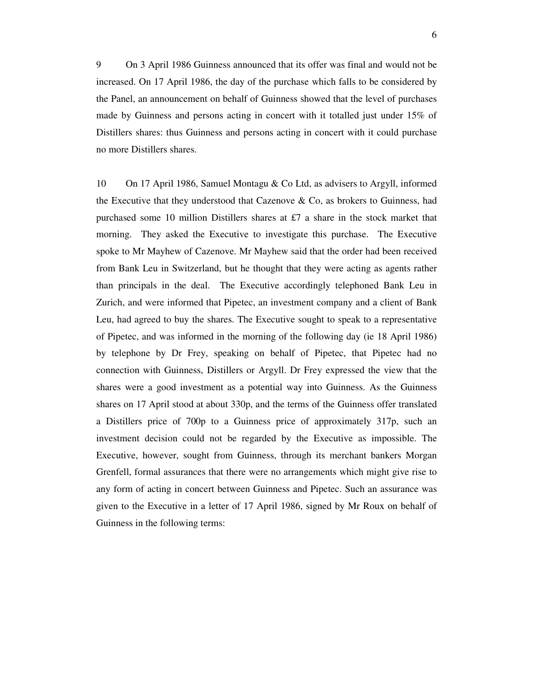9 On 3 April 1986 Guinness announced that its offer was final and would not be increased. On 17 April 1986, the day of the purchase which falls to be considered by the Panel, an announcement on behalf of Guinness showed that the level of purchases made by Guinness and persons acting in concert with it totalled just under 15% of Distillers shares: thus Guinness and persons acting in concert with it could purchase no more Distillers shares.

10 On 17 April 1986, Samuel Montagu & Co Ltd, as advisers to Argyll, informed the Executive that they understood that Cazenove  $\&$  Co, as brokers to Guinness, had purchased some 10 million Distillers shares at £7 a share in the stock market that morning. They asked the Executive to investigate this purchase. The Executive spoke to Mr Mayhew of Cazenove. Mr Mayhew said that the order had been received from Bank Leu in Switzerland, but he thought that they were acting as agents rather than principals in the deal. The Executive accordingly telephoned Bank Leu in Zurich, and were informed that Pipetec, an investment company and a client of Bank Leu, had agreed to buy the shares. The Executive sought to speak to a representative of Pipetec, and was informed in the morning of the following day (ie 18 April 1986) by telephone by Dr Frey, speaking on behalf of Pipetec, that Pipetec had no connection with Guinness, Distillers or Argyll. Dr Frey expressed the view that the shares were a good investment as a potential way into Guinness. As the Guinness shares on 17 April stood at about 330p, and the terms of the Guinness offer translated a Distillers price of 700p to a Guinness price of approximately 317p, such an investment decision could not be regarded by the Executive as impossible. The Executive, however, sought from Guinness, through its merchant bankers Morgan Grenfell, formal assurances that there were no arrangements which might give rise to any form of acting in concert between Guinness and Pipetec. Such an assurance was given to the Executive in a letter of 17 April 1986, signed by Mr Roux on behalf of Guinness in the following terms: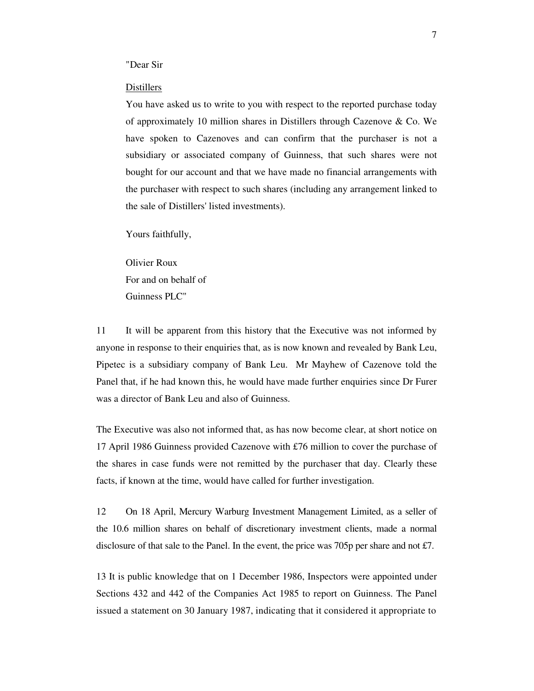"Dear Sir

#### Distillers

You have asked us to write to you with respect to the reported purchase today of approximately 10 million shares in Distillers through Cazenove & Co. We have spoken to Cazenoves and can confirm that the purchaser is not a subsidiary or associated company of Guinness, that such shares were not bought for our account and that we have made no financial arrangements with the purchaser with respect to such shares (including any arrangement linked to the sale of Distillers' listed investments).

Yours faithfully,

Olivier Roux For and on behalf of Guinness PLC"

11 It will be apparent from this history that the Executive was not informed by anyone in response to their enquiries that, as is now known and revealed by Bank Leu, Pipetec is a subsidiary company of Bank Leu. Mr Mayhew of Cazenove told the Panel that, if he had known this, he would have made further enquiries since Dr Furer was a director of Bank Leu and also of Guinness.

The Executive was also not informed that, as has now become clear, at short notice on 17 April 1986 Guinness provided Cazenove with £76 million to cover the purchase of the shares in case funds were not remitted by the purchaser that day. Clearly these facts, if known at the time, would have called for further investigation.

12 On 18 April, Mercury Warburg Investment Management Limited, as a seller of the 10.6 million shares on behalf of discretionary investment clients, made a normal disclosure of that sale to the Panel. In the event, the price was 705p per share and not  $\pounds$ .

13 It is public knowledge that on 1 December 1986, Inspectors were appointed under Sections 432 and 442 of the Companies Act 1985 to report on Guinness. The Panel issued a statement on 30 January 1987, indicating that it considered it appropriate to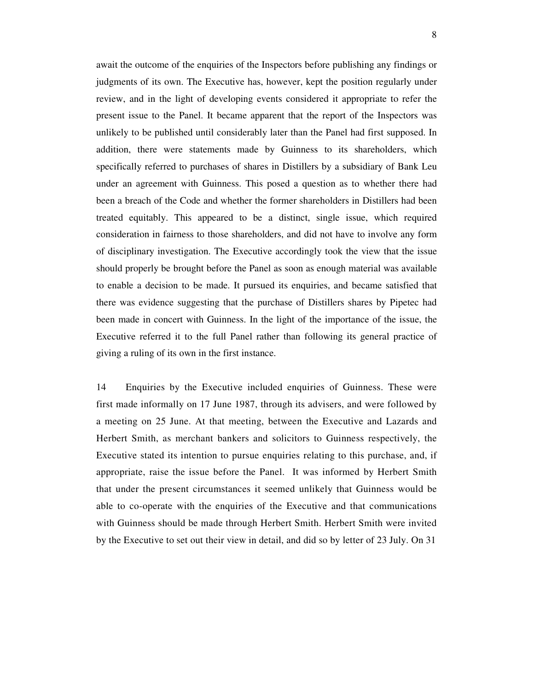await the outcome of the enquiries of the Inspectors before publishing any findings or judgments of its own. The Executive has, however, kept the position regularly under review, and in the light of developing events considered it appropriate to refer the present issue to the Panel. It became apparent that the report of the Inspectors was unlikely to be published until considerably later than the Panel had first supposed. In addition, there were statements made by Guinness to its shareholders, which specifically referred to purchases of shares in Distillers by a subsidiary of Bank Leu under an agreement with Guinness. This posed a question as to whether there had been a breach of the Code and whether the former shareholders in Distillers had been treated equitably. This appeared to be a distinct, single issue, which required consideration in fairness to those shareholders, and did not have to involve any form of disciplinary investigation. The Executive accordingly took the view that the issue should properly be brought before the Panel as soon as enough material was available to enable a decision to be made. It pursued its enquiries, and became satisfied that there was evidence suggesting that the purchase of Distillers shares by Pipetec had been made in concert with Guinness. In the light of the importance of the issue, the Executive referred it to the full Panel rather than following its general practice of giving a ruling of its own in the first instance.

14 Enquiries by the Executive included enquiries of Guinness. These were first made informally on 17 June 1987, through its advisers, and were followed by a meeting on 25 June. At that meeting, between the Executive and Lazards and Herbert Smith, as merchant bankers and solicitors to Guinness respectively, the Executive stated its intention to pursue enquiries relating to this purchase, and, if appropriate, raise the issue before the Panel. It was informed by Herbert Smith that under the present circumstances it seemed unlikely that Guinness would be able to co-operate with the enquiries of the Executive and that communications with Guinness should be made through Herbert Smith. Herbert Smith were invited by the Executive to set out their view in detail, and did so by letter of 23 July. On 31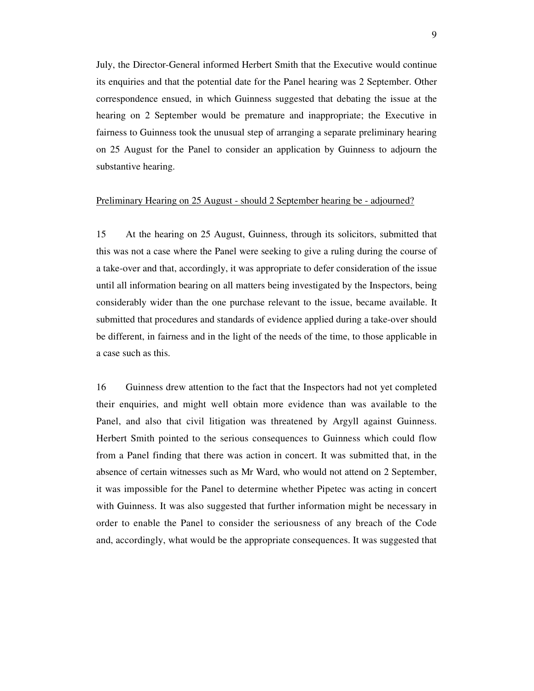July, the Director-General informed Herbert Smith that the Executive would continue its enquiries and that the potential date for the Panel hearing was 2 September. Other correspondence ensued, in which Guinness suggested that debating the issue at the hearing on 2 September would be premature and inappropriate; the Executive in fairness to Guinness took the unusual step of arranging a separate preliminary hearing on 25 August for the Panel to consider an application by Guinness to adjourn the substantive hearing.

## Preliminary Hearing on 25 August - should 2 September hearing be - adjourned?

15 At the hearing on 25 August, Guinness, through its solicitors, submitted that this was not a case where the Panel were seeking to give a ruling during the course of a take-over and that, accordingly, it was appropriate to defer consideration of the issue until all information bearing on all matters being investigated by the Inspectors, being considerably wider than the one purchase relevant to the issue, became available. It submitted that procedures and standards of evidence applied during a take-over should be different, in fairness and in the light of the needs of the time, to those applicable in a case such as this.

16 Guinness drew attention to the fact that the Inspectors had not yet completed their enquiries, and might well obtain more evidence than was available to the Panel, and also that civil litigation was threatened by Argyll against Guinness. Herbert Smith pointed to the serious consequences to Guinness which could flow from a Panel finding that there was action in concert. It was submitted that, in the absence of certain witnesses such as Mr Ward, who would not attend on 2 September, it was impossible for the Panel to determine whether Pipetec was acting in concert with Guinness. It was also suggested that further information might be necessary in order to enable the Panel to consider the seriousness of any breach of the Code and, accordingly, what would be the appropriate consequences. It was suggested that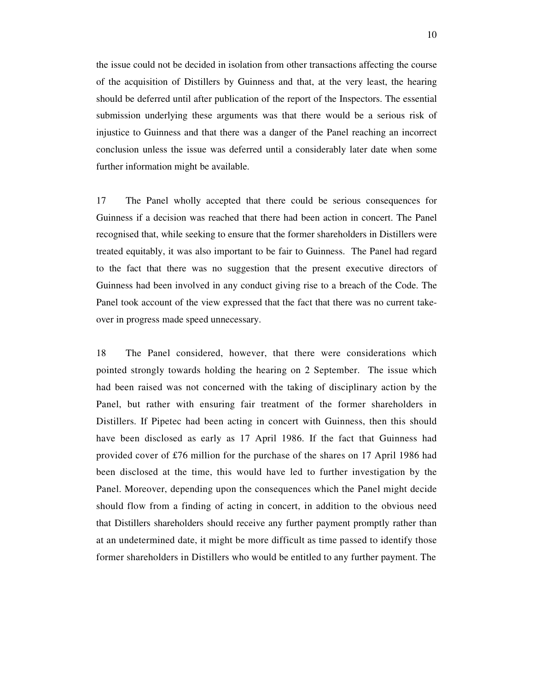the issue could not be decided in isolation from other transactions affecting the course of the acquisition of Distillers by Guinness and that, at the very least, the hearing should be deferred until after publication of the report of the Inspectors. The essential submission underlying these arguments was that there would be a serious risk of injustice to Guinness and that there was a danger of the Panel reaching an incorrect conclusion unless the issue was deferred until a considerably later date when some further information might be available.

17 The Panel wholly accepted that there could be serious consequences for Guinness if a decision was reached that there had been action in concert. The Panel recognised that, while seeking to ensure that the former shareholders in Distillers were treated equitably, it was also important to be fair to Guinness. The Panel had regard to the fact that there was no suggestion that the present executive directors of Guinness had been involved in any conduct giving rise to a breach of the Code. The Panel took account of the view expressed that the fact that there was no current takeover in progress made speed unnecessary.

18 The Panel considered, however, that there were considerations which pointed strongly towards holding the hearing on 2 September. The issue which had been raised was not concerned with the taking of disciplinary action by the Panel, but rather with ensuring fair treatment of the former shareholders in Distillers. If Pipetec had been acting in concert with Guinness, then this should have been disclosed as early as 17 April 1986. If the fact that Guinness had provided cover of £76 million for the purchase of the shares on 17 April 1986 had been disclosed at the time, this would have led to further investigation by the Panel. Moreover, depending upon the consequences which the Panel might decide should flow from a finding of acting in concert, in addition to the obvious need that Distillers shareholders should receive any further payment promptly rather than at an undetermined date, it might be more difficult as time passed to identify those former shareholders in Distillers who would be entitled to any further payment. The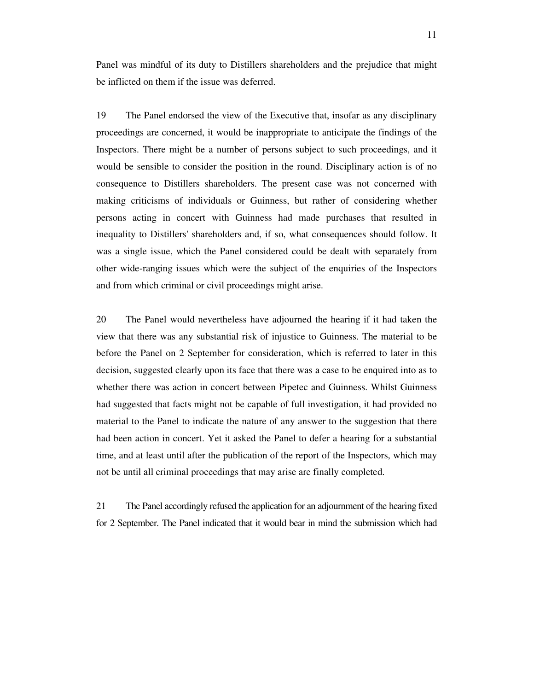Panel was mindful of its duty to Distillers shareholders and the prejudice that might be inflicted on them if the issue was deferred.

19 The Panel endorsed the view of the Executive that, insofar as any disciplinary proceedings are concerned, it would be inappropriate to anticipate the findings of the Inspectors. There might be a number of persons subject to such proceedings, and it would be sensible to consider the position in the round. Disciplinary action is of no consequence to Distillers shareholders. The present case was not concerned with making criticisms of individuals or Guinness, but rather of considering whether persons acting in concert with Guinness had made purchases that resulted in inequality to Distillers' shareholders and, if so, what consequences should follow. It was a single issue, which the Panel considered could be dealt with separately from other wide-ranging issues which were the subject of the enquiries of the Inspectors and from which criminal or civil proceedings might arise.

20 The Panel would nevertheless have adjourned the hearing if it had taken the view that there was any substantial risk of injustice to Guinness. The material to be before the Panel on 2 September for consideration, which is referred to later in this decision, suggested clearly upon its face that there was a case to be enquired into as to whether there was action in concert between Pipetec and Guinness. Whilst Guinness had suggested that facts might not be capable of full investigation, it had provided no material to the Panel to indicate the nature of any answer to the suggestion that there had been action in concert. Yet it asked the Panel to defer a hearing for a substantial time, and at least until after the publication of the report of the Inspectors, which may not be until all criminal proceedings that may arise are finally completed.

21 The Panel accordingly refused the application for an adjournment of the hearing fixed for 2 September. The Panel indicated that it would bear in mind the submission which had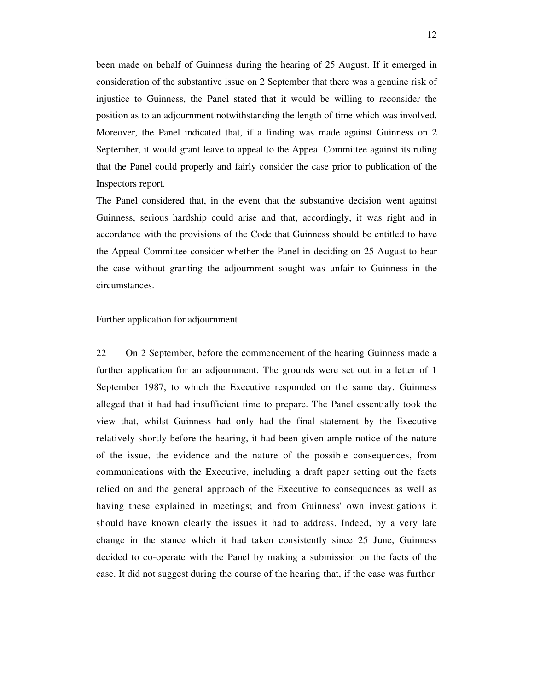been made on behalf of Guinness during the hearing of 25 August. If it emerged in consideration of the substantive issue on 2 September that there was a genuine risk of injustice to Guinness, the Panel stated that it would be willing to reconsider the position as to an adjournment notwithstanding the length of time which was involved. Moreover, the Panel indicated that, if a finding was made against Guinness on 2 September, it would grant leave to appeal to the Appeal Committee against its ruling that the Panel could properly and fairly consider the case prior to publication of the Inspectors report.

The Panel considered that, in the event that the substantive decision went against Guinness, serious hardship could arise and that, accordingly, it was right and in accordance with the provisions of the Code that Guinness should be entitled to have the Appeal Committee consider whether the Panel in deciding on 25 August to hear the case without granting the adjournment sought was unfair to Guinness in the circumstances.

#### Further application for adjournment

22 On 2 September, before the commencement of the hearing Guinness made a further application for an adjournment. The grounds were set out in a letter of 1 September 1987, to which the Executive responded on the same day. Guinness alleged that it had had insufficient time to prepare. The Panel essentially took the view that, whilst Guinness had only had the final statement by the Executive relatively shortly before the hearing, it had been given ample notice of the nature of the issue, the evidence and the nature of the possible consequences, from communications with the Executive, including a draft paper setting out the facts relied on and the general approach of the Executive to consequences as well as having these explained in meetings; and from Guinness' own investigations it should have known clearly the issues it had to address. Indeed, by a very late change in the stance which it had taken consistently since 25 June, Guinness decided to co-operate with the Panel by making a submission on the facts of the case. It did not suggest during the course of the hearing that, if the case was further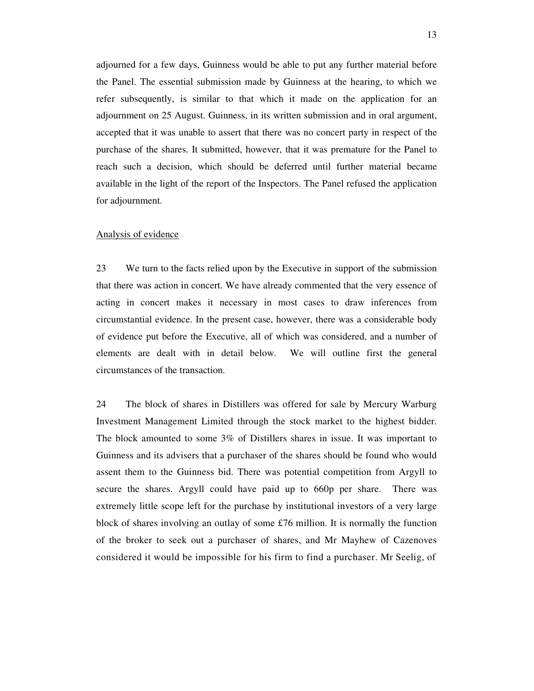adjourned for a few days, Guinness would be able to put any further material before the Panel. The essential submission made by Guinness at the hearing, to which we refer subsequently, is similar to that which it made on the application for an adjournment on 25 August. Guinness, in its written submission and in oral argument, accepted that it was unable to assert that there was no concert party in respect of the purchase of the shares. It submitted, however, that it was premature for the Panel to reach such a decision, which should be deferred until further material became available in the light of the report of the Inspectors. The Panel refused the application for adjournment.

#### Analysis of evidence

23 We turn to the facts relied upon by the Executive in support of the submission that there was action in concert. We have already commented that the very essence of acting in concert makes it necessary in most cases to draw inferences from circumstantial evidence. In the present case, however, there was a considerable body of evidence put before the Executive, all of which was considered, and a number of elements are dealt with in detail below. We will outline first the general circumstances of the transaction.

24 The block of shares in Distillers was offered for sale by Mercury Warburg Investment Management Limited through the stock market to the highest bidder. The block amounted to some 3% of Distillers shares in issue. It was important to Guinness and its advisers that a purchaser of the shares should be found who would assent them to the Guinness bid. There was potential competition from Argyll to secure the shares. Argyll could have paid up to 660p per share. There was extremely little scope left for the purchase by institutional investors of a very large block of shares involving an outlay of some £76 million. It is normally the function of the broker to seek out a purchaser of shares, and Mr Mayhew of Cazenoves considered it would be impossible for his firm to find a purchaser. Mr Seelig, of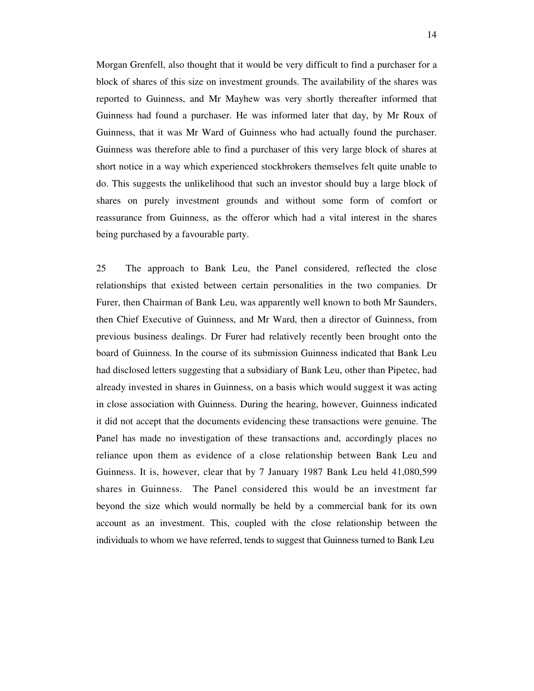Morgan Grenfell, also thought that it would be very difficult to find a purchaser for a block of shares of this size on investment grounds. The availability of the shares was reported to Guinness, and Mr Mayhew was very shortly thereafter informed that Guinness had found a purchaser. He was informed later that day, by Mr Roux of Guinness, that it was Mr Ward of Guinness who had actually found the purchaser. Guinness was therefore able to find a purchaser of this very large block of shares at short notice in a way which experienced stockbrokers themselves felt quite unable to do. This suggests the unlikelihood that such an investor should buy a large block of shares on purely investment grounds and without some form of comfort or reassurance from Guinness, as the offeror which had a vital interest in the shares being purchased by a favourable party.

25 The approach to Bank Leu, the Panel considered, reflected the close relationships that existed between certain personalities in the two companies. Dr Furer, then Chairman of Bank Leu, was apparently well known to both Mr Saunders, then Chief Executive of Guinness, and Mr Ward, then a director of Guinness, from previous business dealings. Dr Furer had relatively recently been brought onto the board of Guinness. In the course of its submission Guinness indicated that Bank Leu had disclosed letters suggesting that a subsidiary of Bank Leu, other than Pipetec, had already invested in shares in Guinness, on a basis which would suggest it was acting in close association with Guinness. During the hearing, however, Guinness indicated it did not accept that the documents evidencing these transactions were genuine. The Panel has made no investigation of these transactions and, accordingly places no reliance upon them as evidence of a close relationship between Bank Leu and Guinness. It is, however, clear that by 7 January 1987 Bank Leu held 41,080,599 shares in Guinness. The Panel considered this would be an investment far beyond the size which would normally be held by a commercial bank for its own account as an investment. This, coupled with the close relationship between the individuals to whom we have referred, tends to suggest that Guinness turned to Bank Leu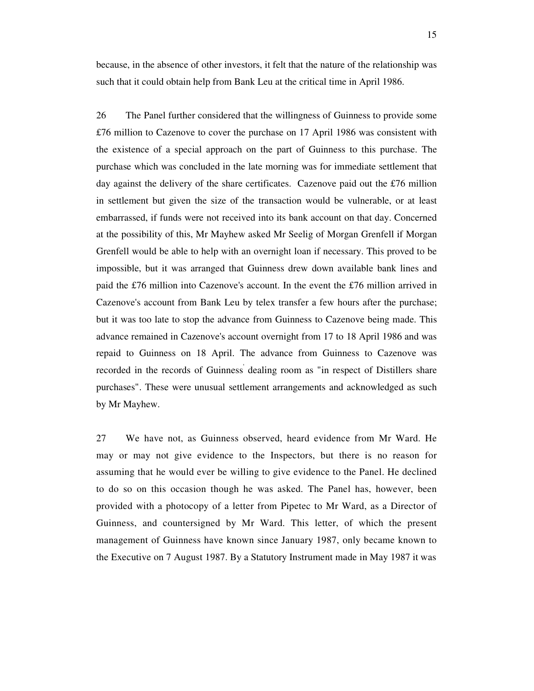because, in the absence of other investors, it felt that the nature of the relationship was such that it could obtain help from Bank Leu at the critical time in April 1986.

26 The Panel further considered that the willingness of Guinness to provide some £76 million to Cazenove to cover the purchase on 17 April 1986 was consistent with the existence of a special approach on the part of Guinness to this purchase. The purchase which was concluded in the late morning was for immediate settlement that day against the delivery of the share certificates. Cazenove paid out the  $£76$  million in settlement but given the size of the transaction would be vulnerable, or at least embarrassed, if funds were not received into its bank account on that day. Concerned at the possibility of this, Mr Mayhew asked Mr Seelig of Morgan Grenfell if Morgan Grenfell would be able to help with an overnight loan if necessary. This proved to be impossible, but it was arranged that Guinness drew down available bank lines and paid the £76 million into Cazenove's account. In the event the £76 million arrived in Cazenove's account from Bank Leu by telex transfer a few hours after the purchase; but it was too late to stop the advance from Guinness to Cazenove being made. This advance remained in Cazenove's account overnight from 17 to 18 April 1986 and was repaid to Guinness on 18 April. The advance from Guinness to Cazenove was recorded in the records of Guinness ' dealing room as "in respect of Distillers share purchases". These were unusual settlement arrangements and acknowledged as such by Mr Mayhew.

27 We have not, as Guinness observed, heard evidence from Mr Ward. He may or may not give evidence to the Inspectors, but there is no reason for assuming that he would ever be willing to give evidence to the Panel. He declined to do so on this occasion though he was asked. The Panel has, however, been provided with a photocopy of a letter from Pipetec to Mr Ward, as a Director of Guinness, and countersigned by Mr Ward. This letter, of which the present management of Guinness have known since January 1987, only became known to the Executive on 7 August 1987. By a Statutory Instrument made in May 1987 it was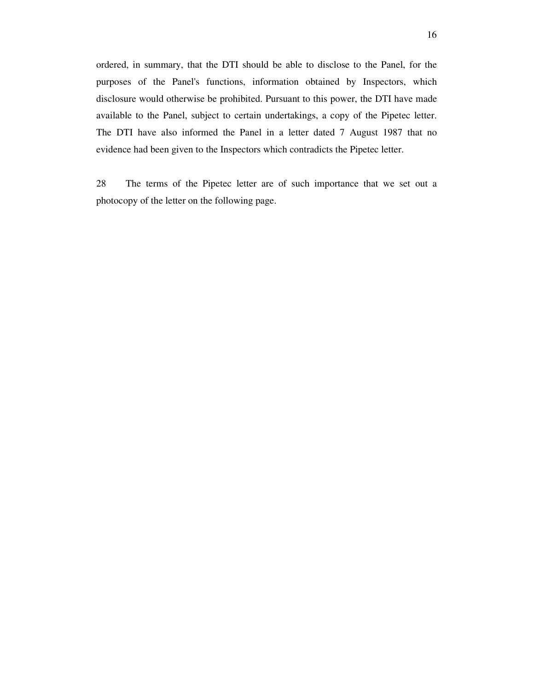ordered, in summary, that the DTI should be able to disclose to the Panel, for the purposes of the Panel's functions, information obtained by Inspectors, which disclosure would otherwise be prohibited. Pursuant to this power, the DTI have made available to the Panel, subject to certain undertakings, a copy of the Pipetec letter. The DTI have also informed the Panel in a letter dated 7 August 1987 that no evidence had been given to the Inspectors which contradicts the Pipetec letter.

28 The terms of the Pipetec letter are of such importance that we set out a photocopy of the letter on the following page.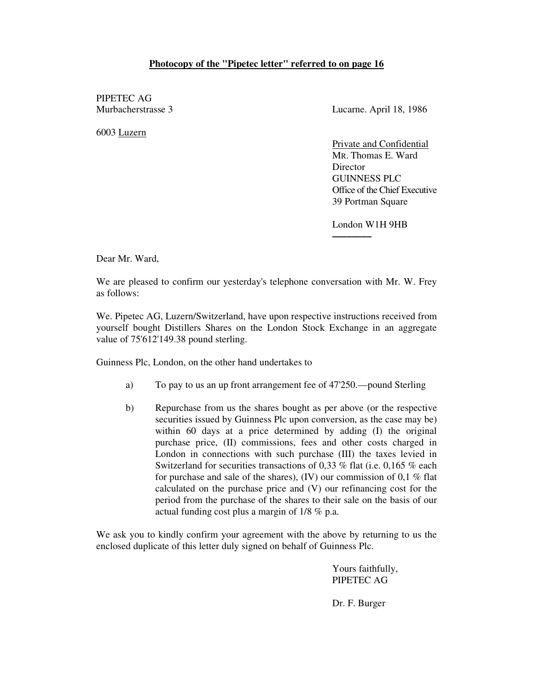## **Photocopy of the "Pipetec letter" referred to on page 16**

PIPETEC AG

6003 Luzern

Murbacherstrasse 3 Lucarne. April 18, 1986

Private and Confidential MR. Thomas E. Ward **Director** GUINNESS PLC Office of theChief Executive 39 Portman Square

London W1H 9HB

**––––––––**

Dear Mr. Ward,

We are pleased to confirm our yesterday's telephone conversation with Mr. W. Frey as follows:

We. Pipetec AG, Luzern/Switzerland, have upon respective instructions received from yourself bought Distillers Shares on the London Stock Exchange in an aggregate value of 75'612'149.38 pound sterling.

Guinness Plc, London, on the other hand undertakes to

- a) To pay to us an up front arrangement fee of 47'250.—pound Sterling
- b) Repurchase from us the shares bought as per above (or the respective securities issued by Guinness Plc upon conversion, as the case may be) within 60 days at a price determined by adding (I) the original purchase price, (II) commissions, fees and other costs charged in London in connections with such purchase (III) the taxes levied in Switzerland for securities transactions of 0,33 % flat (i.e. 0,165 % each for purchase and sale of the shares), (IV) our commission of 0,1  $%$  flat calculated on the purchase price and (V) our refinancing cost for the period from the purchase of the shares to their sale on the basis of our actual funding cost plus a margin of 1/8 % p.a.

We ask you to kindly confirm your agreement with the above by returning to us the enclosed duplicate of this letter duly signed on behalf of Guinness Plc.

> Yours faithfully, PIPETEC AG

Dr. F. Burger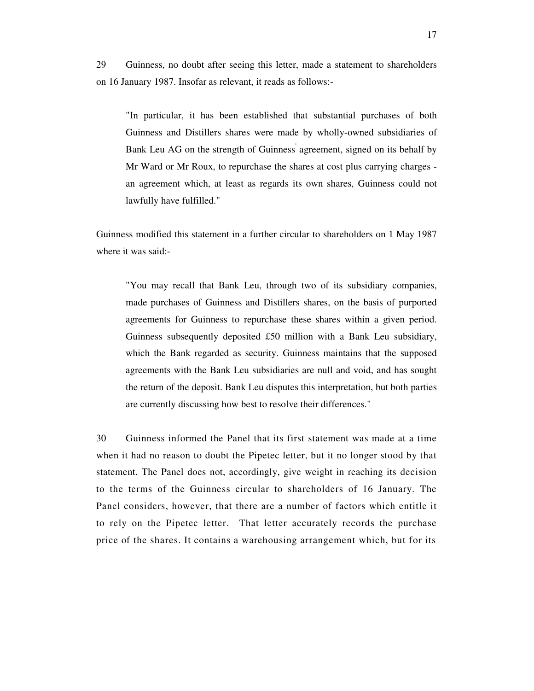29 Guinness, no doubt after seeing this letter, made a statement to shareholders on 16 January 1987. Insofar as relevant, it reads as follows:-

"In particular, it has been established that substantial purchases of both Guinness and Distillers shares were made by wholly-owned subsidiaries of Bank Leu AG on the strength of Guinness ' agreement, signed on its behalf by Mr Ward or Mr Roux, to repurchase the shares at cost plus carrying charges an agreement which, at least as regards its own shares, Guinness could not lawfully have fulfilled."

Guinness modified this statement in a further circular to shareholders on 1 May 1987 where it was said:-

"You may recall that Bank Leu, through two of its subsidiary companies, made purchases of Guinness and Distillers shares, on the basis of purported agreements for Guinness to repurchase these shares within a given period. Guinness subsequently deposited £50 million with a Bank Leu subsidiary, which the Bank regarded as security. Guinness maintains that the supposed agreements with the Bank Leu subsidiaries are null and void, and has sought the return of the deposit. Bank Leu disputes this interpretation, but both parties are currently discussing how best to resolve their differences."

30 Guinness informed the Panel that its first statement was made at a time when it had no reason to doubt the Pipetec letter, but it no longer stood by that statement. The Panel does not, accordingly, give weight in reaching its decision to the terms of the Guinness circular to shareholders of 16 January. The Panel considers, however, that there are a number of factors which entitle it to rely on the Pipetec letter. That letter accurately records the purchase price of the shares. It contains a warehousing arrangement which, but for its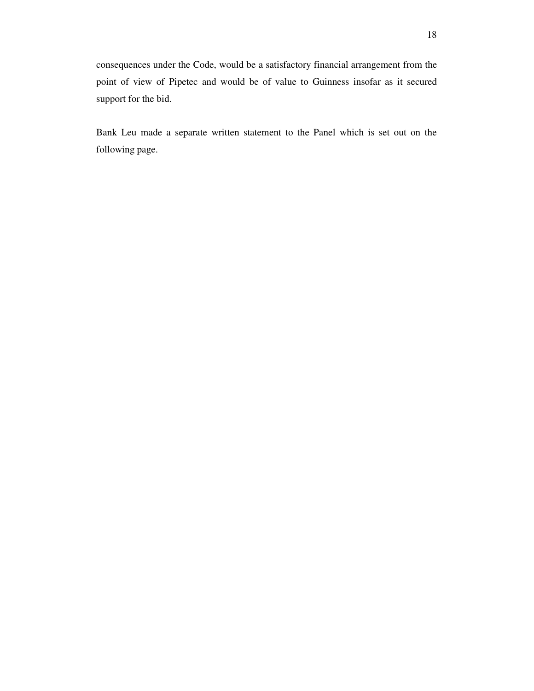consequences under the Code, would be a satisfactory financial arrangement from the point of view of Pipetec and would be of value to Guinness insofar as it secured support for the bid.

Bank Leu made a separate written statement to the Panel which is set out on the following page.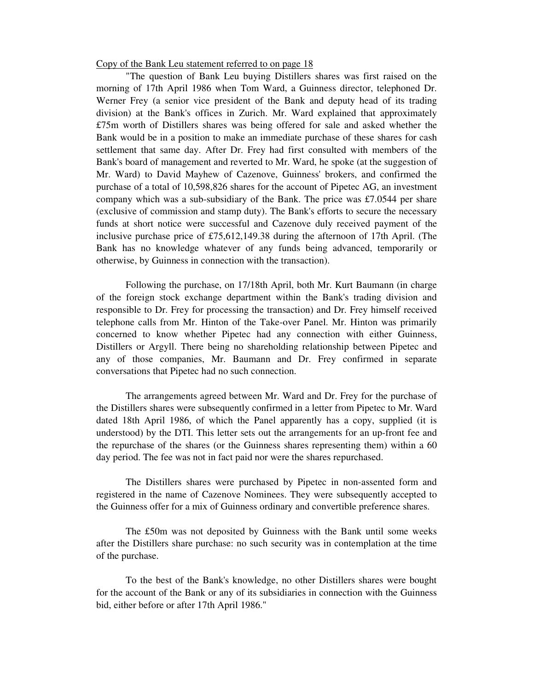#### Copy of the Bank Leu statement referred to on page 18

"The question of Bank Leu buying Distillers shares was first raised on the morning of 17th April 1986 when Tom Ward, a Guinness director, telephoned Dr. Werner Frey (a senior vice president of the Bank and deputy head of its trading division) at the Bank's offices in Zurich. Mr. Ward explained that approximately £75m worth of Distillers shares was being offered for sale and asked whether the Bank would be in a position to make an immediate purchase of these shares for cash settlement that same day. After Dr. Frey had first consulted with members of the Bank's board of management and reverted to Mr. Ward, he spoke (at the suggestion of Mr. Ward) to David Mayhew of Cazenove, Guinness' brokers, and confirmed the purchase of a total of 10,598,826 shares for the account of Pipetec AG, an investment company which was a sub-subsidiary of the Bank. The price was  $\text{\pounds}7.0544$  per share (exclusive of commission and stamp duty). The Bank's efforts to secure the necessary funds at short notice were successful and Cazenove duly received payment of the inclusive purchase price of £75,612,149.38 during the afternoon of 17th April. (The Bank has no knowledge whatever of any funds being advanced, temporarily or otherwise, by Guinness in connection with the transaction).

Following the purchase, on 17/18th April, both Mr. Kurt Baumann (in charge of the foreign stock exchange department within the Bank's trading division and responsible to Dr. Frey for processing the transaction) and Dr. Frey himself received telephone calls from Mr. Hinton of the Take-over Panel. Mr. Hinton was primarily concerned to know whether Pipetec had any connection with either Guinness, Distillers or Argyll. There being no shareholding relationship between Pipetec and any of those companies, Mr. Baumann and Dr. Frey confirmed in separate conversations that Pipetec had no such connection.

The arrangements agreed between Mr. Ward and Dr. Frey for the purchase of the Distillers shares were subsequently confirmed in a letter from Pipetec to Mr. Ward dated 18th April 1986, of which the Panel apparently has a copy, supplied (it is understood) by the DTI. This letter sets out the arrangements for an up-front fee and the repurchase of the shares (or the Guinness shares representing them) within a 60 day period. The fee was not in fact paid nor were the shares repurchased.

The Distillers shares were purchased by Pipetec in non-assented form and registered in the name of Cazenove Nominees. They were subsequently accepted to the Guinness offer for a mix of Guinness ordinary and convertible preference shares.

The £50m was not deposited by Guinness with the Bank until some weeks after the Distillers share purchase: no such security was in contemplation at the time of the purchase.

To the best of the Bank's knowledge, no other Distillers shares were bought for the account of the Bank or any of its subsidiaries in connection with the Guinness bid, either before or after 17th April 1986."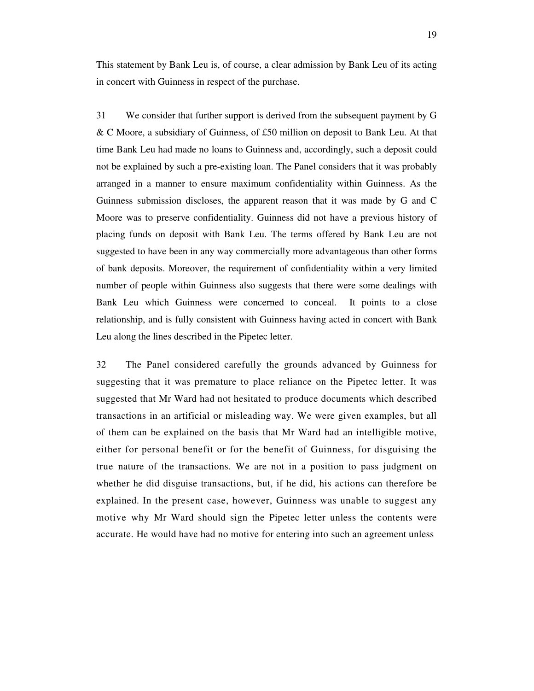This statement by Bank Leu is, of course, a clear admission by Bank Leu of its acting in concert with Guinness in respect of the purchase.

31 We consider that further support is derived from the subsequent payment by G & C Moore, a subsidiary of Guinness, of £50 million on deposit to Bank Leu. At that time Bank Leu had made no loans to Guinness and, accordingly, such a deposit could not be explained by such a pre-existing loan. The Panel considers that it was probably arranged in a manner to ensure maximum confidentiality within Guinness. As the Guinness submission discloses, the apparent reason that it was made by G and C Moore was to preserve confidentiality. Guinness did not have a previous history of placing funds on deposit with Bank Leu. The terms offered by Bank Leu are not suggested to have been in any way commercially more advantageous than other forms of bank deposits. Moreover, the requirement of confidentiality within a very limited number of people within Guinness also suggests that there were some dealings with Bank Leu which Guinness were concerned to conceal. It points to a close relationship, and is fully consistent with Guinness having acted in concert with Bank Leu along the lines described in the Pipetec letter.

32 The Panel considered carefully the grounds advanced by Guinness for suggesting that it was premature to place reliance on the Pipetec letter. It was suggested that Mr Ward had not hesitated to produce documents which described transactions in an artificial or misleading way. We were given examples, but all of them can be explained on the basis that Mr Ward had an intelligible motive, either for personal benefit or for the benefit of Guinness, for disguising the true nature of the transactions. We are not in a position to pass judgment on whether he did disguise transactions, but, if he did, his actions can therefore be explained. In the present case, however, Guinness was unable to suggest any motive why Mr Ward should sign the Pipetec letter unless the contents were accurate. He would have had no motive for entering into such an agreement unless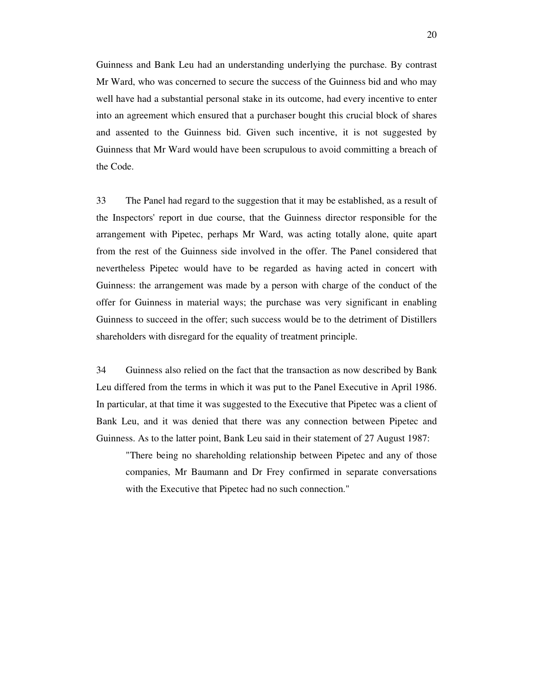Guinness and Bank Leu had an understanding underlying the purchase. By contrast Mr Ward, who was concerned to secure the success of the Guinness bid and who may well have had a substantial personal stake in its outcome, had every incentive to enter into an agreement which ensured that a purchaser bought this crucial block of shares and assented to the Guinness bid. Given such incentive, it is not suggested by Guinness that Mr Ward would have been scrupulous to avoid committing a breach of the Code.

33 The Panel had regard to the suggestion that it may be established, as a result of the Inspectors' report in due course, that the Guinness director responsible for the arrangement with Pipetec, perhaps Mr Ward, was acting totally alone, quite apart from the rest of the Guinness side involved in the offer. The Panel considered that nevertheless Pipetec would have to be regarded as having acted in concert with Guinness: the arrangement was made by a person with charge of the conduct of the offer for Guinness in material ways; the purchase was very significant in enabling Guinness to succeed in the offer; such success would be to the detriment of Distillers shareholders with disregard for the equality of treatment principle.

34 Guinness also relied on the fact that the transaction as now described by Bank Leu differed from the terms in which it was put to the Panel Executive in April 1986. In particular, at that time it was suggested to the Executive that Pipetec was a client of Bank Leu, and it was denied that there was any connection between Pipetec and Guinness. As to the latter point, Bank Leu said in their statement of 27 August 1987:

"There being no shareholding relationship between Pipetec and any of those companies, Mr Baumann and Dr Frey confirmed in separate conversations with the Executive that Pipetec had no such connection."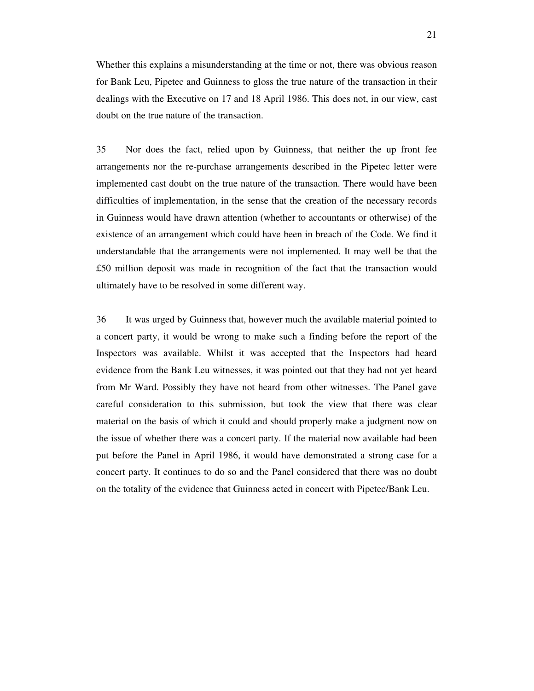Whether this explains a misunderstanding at the time or not, there was obvious reason for Bank Leu, Pipetec and Guinness to gloss the true nature of the transaction in their dealings with the Executive on 17 and 18 April 1986. This does not, in our view, cast doubt on the true nature of the transaction.

35 Nor does the fact, relied upon by Guinness, that neither the up front fee arrangements nor the re-purchase arrangements described in the Pipetec letter were implemented cast doubt on the true nature of the transaction. There would have been difficulties of implementation, in the sense that the creation of the necessary records in Guinness would have drawn attention (whether to accountants or otherwise) of the existence of an arrangement which could have been in breach of the Code. We find it understandable that the arrangements were not implemented. It may well be that the £50 million deposit was made in recognition of the fact that the transaction would ultimately have to be resolved in some different way.

36 It was urged by Guinness that, however much the available material pointed to a concert party, it would be wrong to make such a finding before the report of the Inspectors was available. Whilst it was accepted that the Inspectors had heard evidence from the Bank Leu witnesses, it was pointed out that they had not yet heard from Mr Ward. Possibly they have not heard from other witnesses. The Panel gave careful consideration to this submission, but took the view that there was clear material on the basis of which it could and should properly make a judgment now on the issue of whether there was a concert party. If the material now available had been put before the Panel in April 1986, it would have demonstrated a strong case for a concert party. It continues to do so and the Panel considered that there was no doubt on the totality of the evidence that Guinness acted in concert with Pipetec/Bank Leu.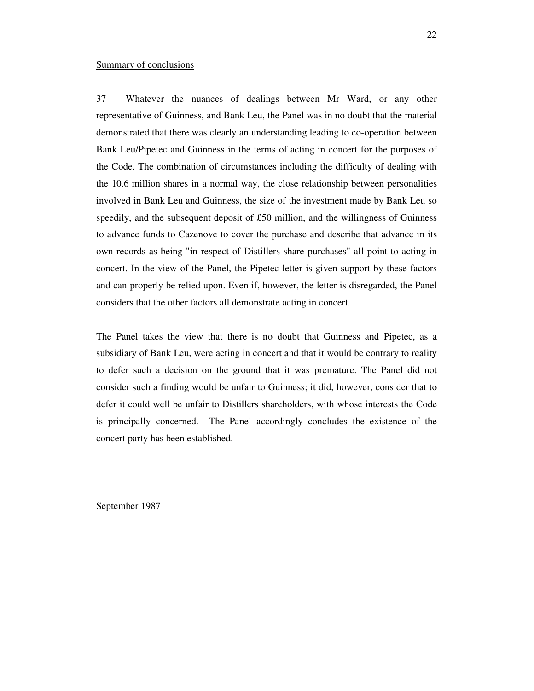#### Summary of conclusions

37 Whatever the nuances of dealings between Mr Ward, or any other representative of Guinness, and Bank Leu, the Panel was in no doubt that the material demonstrated that there was clearly an understanding leading to co-operation between Bank Leu/Pipetec and Guinness in the terms of acting in concert for the purposes of the Code. The combination of circumstances including the difficulty of dealing with the 10.6 million shares in a normal way, the close relationship between personalities involved in Bank Leu and Guinness, the size of the investment made by Bank Leu so speedily, and the subsequent deposit of £50 million, and the willingness of Guinness to advance funds to Cazenove to cover the purchase and describe that advance in its own records as being "in respect of Distillers share purchases" all point to acting in concert. In the view of the Panel, the Pipetec letter is given support by these factors and can properly be relied upon. Even if, however, the letter is disregarded, the Panel considers that the other factors all demonstrate acting in concert.

The Panel takes the view that there is no doubt that Guinness and Pipetec, as a subsidiary of Bank Leu, were acting in concert and that it would be contrary to reality to defer such a decision on the ground that it was premature. The Panel did not consider such a finding would be unfair to Guinness; it did, however, consider that to defer it could well be unfair to Distillers shareholders, with whose interests the Code is principally concerned. The Panel accordingly concludes the existence of the concert party has been established.

September 1987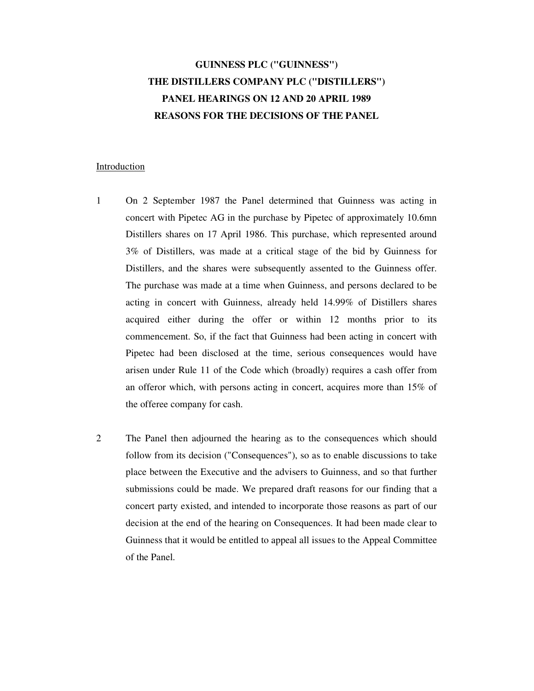# **GUINNESS PLC ("GUINNESS") THE DISTILLERS COMPANY PLC ("DISTILLERS") PANEL HEARINGS ON 12 AND 20 APRIL 1989 REASONS FOR THE DECISIONS OF THE PANEL**

### **Introduction**

- 1 On 2 September 1987 the Panel determined that Guinness was acting in concert with Pipetec AG in the purchase by Pipetec of approximately 10.6mn Distillers shares on 17 April 1986. This purchase, which represented around 3% of Distillers, was made at a critical stage of the bid by Guinness for Distillers, and the shares were subsequently assented to the Guinness offer. The purchase was made at a time when Guinness, and persons declared to be acting in concert with Guinness, already held 14.99% of Distillers shares acquired either during the offer or within 12 months prior to its commencement. So, if the fact that Guinness had been acting in concert with Pipetec had been disclosed at the time, serious consequences would have arisen under Rule 11 of the Code which (broadly) requires a cash offer from an offeror which, with persons acting in concert, acquires more than 15% of the offeree company for cash.
- 2 The Panel then adjourned the hearing as to the consequences which should follow from its decision ("Consequences"), so as to enable discussions to take place between the Executive and the advisers to Guinness, and so that further submissions could be made. We prepared draft reasons for our finding that a concert party existed, and intended to incorporate those reasons as part of our decision at the end of the hearing on Consequences. It had been made clear to Guinness that it would be entitled to appeal all issues to the Appeal Committee of the Panel.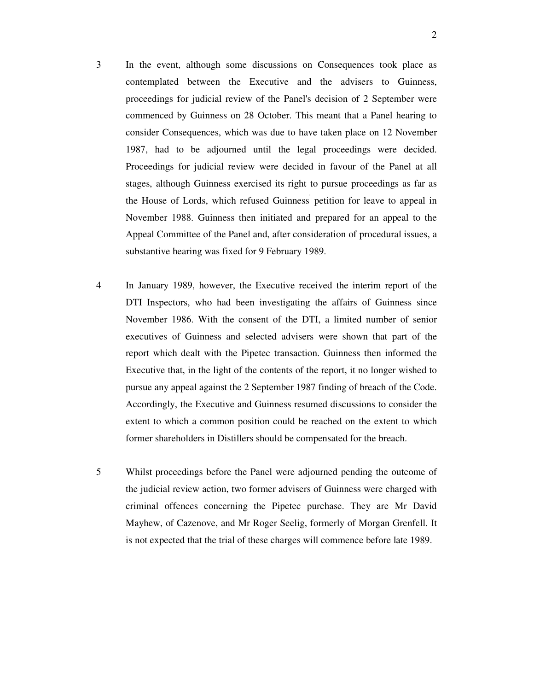- 3 In the event, although some discussions on Consequences took place as contemplated between the Executive and the advisers to Guinness, proceedings for judicial review of the Panel's decision of 2 September were commenced by Guinness on 28 October. This meant that a Panel hearing to consider Consequences, which was due to have taken place on 12 November 1987, had to be adjourned until the legal proceedings were decided. Proceedings for judicial review were decided in favour of the Panel at all stages, although Guinness exercised its right to pursue proceedings as far as the House of Lords, which refused Guinness ' petition for leave to appeal in November 1988. Guinness then initiated and prepared for an appeal to the Appeal Committee of the Panel and, after consideration of procedural issues, a substantive hearing was fixed for 9 February 1989.
- 4 In January 1989, however, the Executive received the interim report of the DTI Inspectors, who had been investigating the affairs of Guinness since November 1986. With the consent of the DTI, a limited number of senior executives of Guinness and selected advisers were shown that part of the report which dealt with the Pipetec transaction. Guinness then informed the Executive that, in the light of the contents of the report, it no longer wished to pursue any appeal against the 2 September 1987 finding of breach of the Code. Accordingly, the Executive and Guinness resumed discussions to consider the extent to which a common position could be reached on the extent to which former shareholders in Distillers should be compensated for the breach.
- 5 Whilst proceedings before the Panel were adjourned pending the outcome of the judicial review action, two former advisers of Guinness were charged with criminal offences concerning the Pipetec purchase. They are Mr David Mayhew, of Cazenove, and Mr Roger Seelig, formerly of Morgan Grenfell. It is not expected that the trial of these charges will commence before late 1989.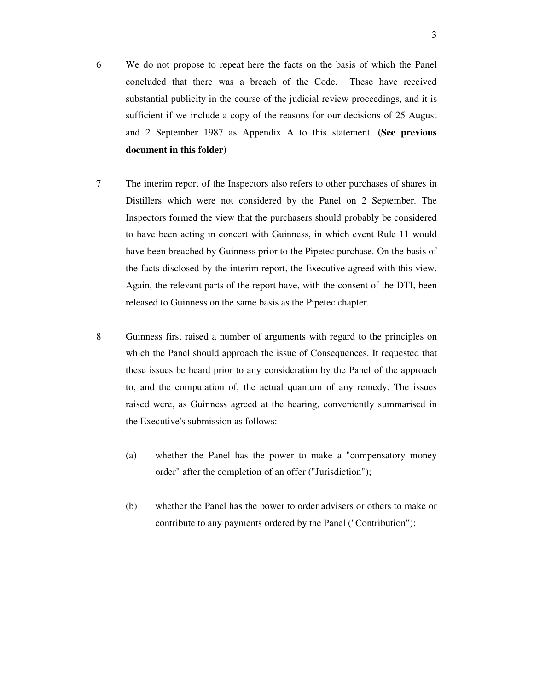- 6 We do not propose to repeat here the facts on the basis of which the Panel concluded that there was a breach of the Code. These have received substantial publicity in the course of the judicial review proceedings, and it is sufficient if we include a copy of the reasons for our decisions of 25 August and 2 September 1987 as Appendix A to this statement. **(See previous document in this folder)**
- 7 The interim report of the Inspectors also refers to other purchases of shares in Distillers which were not considered by the Panel on 2 September. The Inspectors formed the view that the purchasers should probably be considered to have been acting in concert with Guinness, in which event Rule 11 would have been breached by Guinness prior to the Pipetec purchase. On the basis of the facts disclosed by the interim report, the Executive agreed with this view. Again, the relevant parts of the report have, with the consent of the DTI, been released to Guinness on the same basis as the Pipetec chapter.
- 8 Guinness first raised a number of arguments with regard to the principles on which the Panel should approach the issue of Consequences. It requested that these issues be heard prior to any consideration by the Panel of the approach to, and the computation of, the actual quantum of any remedy. The issues raised were, as Guinness agreed at the hearing, conveniently summarised in the Executive's submission as follows:-
	- (a) whether the Panel has the power to make a "compensatory money order" after the completion of an offer ("Jurisdiction");
	- (b) whether the Panel has the power to order advisers or others to make or contribute to any payments ordered by the Panel ("Contribution");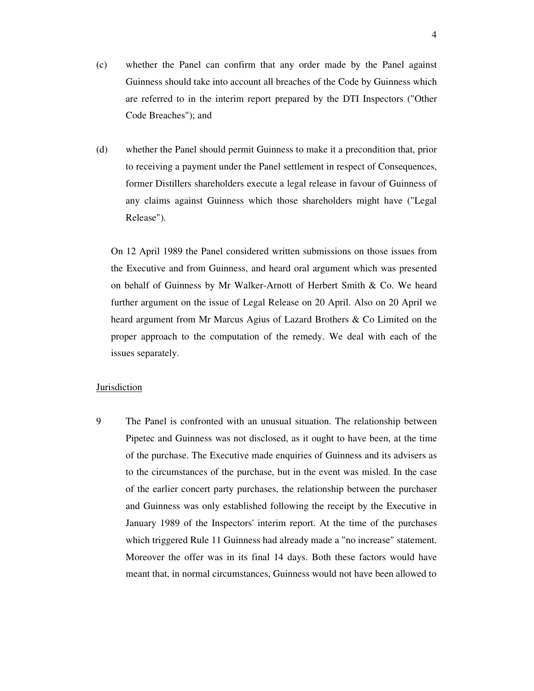- (c) whether the Panel can confirm that any order made by the Panel against Guinness should take into account all breaches of the Code by Guinness which are referred to in the interim report prepared by the DTI Inspectors ("Other Code Breaches"); and
- (d) whether the Panel should permit Guinness to make it a precondition that, prior to receiving a payment under the Panel settlement in respect of Consequences, former Distillers shareholders execute a legal release in favour of Guinness of any claims against Guinness which those shareholders might have ("Legal Release").

On 12 April 1989 the Panel considered written submissions on those issues from the Executive and from Guinness, and heard oral argument which was presented on behalf of Guinness by Mr Walker-Arnott of Herbert Smith & Co. We heard further argument on the issue of Legal Release on 20 April. Also on 20 April we heard argument from Mr Marcus Agius of Lazard Brothers & Co Limited on the proper approach to the computation of the remedy. We deal with each of the issues separately.

### **Jurisdiction**

9 The Panel is confronted with an unusual situation. The relationship between Pipetec and Guinness was not disclosed, as it ought to have been, at the time of the purchase. The Executive made enquiries of Guinness and its advisers as to the circumstances of the purchase, but in the event was misled. In the case of the earlier concert party purchases, the relationship between the purchaser and Guinness was only established following the receipt by the Executive in January 1989 of the Inspectors' interim report. At the time of the purchases which triggered Rule 11 Guinness had already made a "no increase" statement. Moreover the offer was in its final 14 days. Both these factors would have meant that, in normal circumstances, Guinness would not have been allowed to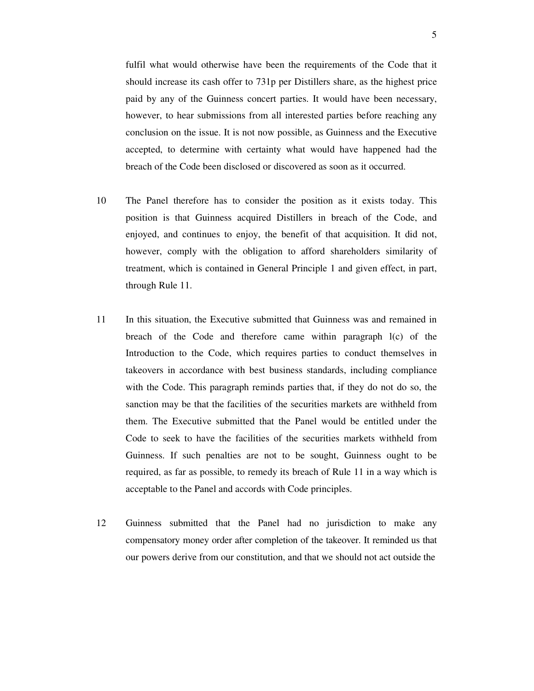fulfil what would otherwise have been the requirements of the Code that it should increase its cash offer to 731p per Distillers share, as the highest price paid by any of the Guinness concert parties. It would have been necessary, however, to hear submissions from all interested parties before reaching any conclusion on the issue. It is not now possible, as Guinness and the Executive accepted, to determine with certainty what would have happened had the breach of the Code been disclosed or discovered as soon as it occurred.

- 10 The Panel therefore has to consider the position as it exists today. This position is that Guinness acquired Distillers in breach of the Code, and enjoyed, and continues to enjoy, the benefit of that acquisition. It did not, however, comply with the obligation to afford shareholders similarity of treatment, which is contained in General Principle 1 and given effect, in part, through Rule 11.
- 11 In this situation, the Executive submitted that Guinness was and remained in breach of the Code and therefore came within paragraph l(c) of the Introduction to the Code, which requires parties to conduct themselves in takeovers in accordance with best business standards, including compliance with the Code. This paragraph reminds parties that, if they do not do so, the sanction may be that the facilities of the securities markets are withheld from them. The Executive submitted that the Panel would be entitled under the Code to seek to have the facilities of the securities markets withheld from Guinness. If such penalties are not to be sought, Guinness ought to be required, as far as possible, to remedy its breach of Rule 11 in a way which is acceptable to the Panel and accords with Code principles.
- 12 Guinness submitted that the Panel had no jurisdiction to make any compensatory money order after completion of the takeover. It reminded us that our powers derive from our constitution, and that we should not act outside the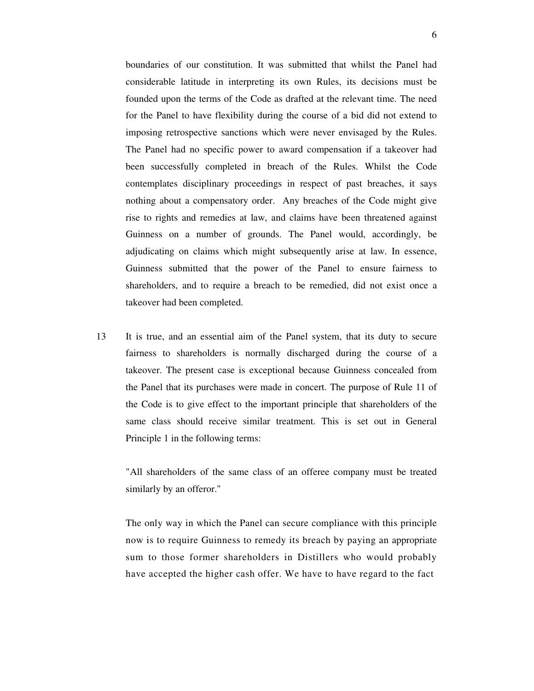boundaries of our constitution. It was submitted that whilst the Panel had considerable latitude in interpreting its own Rules, its decisions must be founded upon the terms of the Code as drafted at the relevant time. The need for the Panel to have flexibility during the course of a bid did not extend to imposing retrospective sanctions which were never envisaged by the Rules. The Panel had no specific power to award compensation if a takeover had been successfully completed in breach of the Rules. Whilst the Code contemplates disciplinary proceedings in respect of past breaches, it says nothing about a compensatory order. Any breaches of the Code might give rise to rights and remedies at law, and claims have been threatened against Guinness on a number of grounds. The Panel would, accordingly, be adjudicating on claims which might subsequently arise at law. In essence, Guinness submitted that the power of the Panel to ensure fairness to shareholders, and to require a breach to be remedied, did not exist once a takeover had been completed.

13 It is true, and an essential aim of the Panel system, that its duty to secure fairness to shareholders is normally discharged during the course of a takeover. The present case is exceptional because Guinness concealed from the Panel that its purchases were made in concert. The purpose of Rule 11 of the Code is to give effect to the important principle that shareholders of the same class should receive similar treatment. This is set out in General Principle 1 in the following terms:

"All shareholders of the same class of an offeree company must be treated similarly by an offeror."

The only way in which the Panel can secure compliance with this principle now is to require Guinness to remedy its breach by paying an appropriate sum to those former shareholders in Distillers who would probably have accepted the higher cash offer. We have to have regard to the fact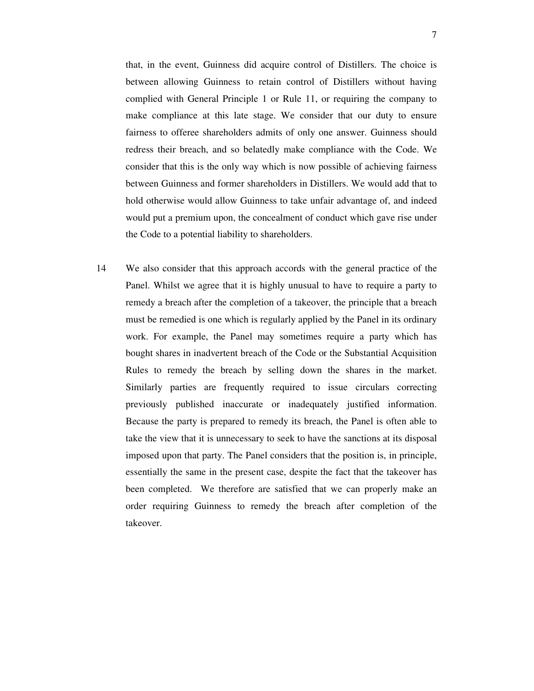that, in the event, Guinness did acquire control of Distillers. The choice is between allowing Guinness to retain control of Distillers without having complied with General Principle 1 or Rule 11, or requiring the company to make compliance at this late stage. We consider that our duty to ensure fairness to offeree shareholders admits of only one answer. Guinness should redress their breach, and so belatedly make compliance with the Code. We consider that this is the only way which is now possible of achieving fairness between Guinness and former shareholders in Distillers. We would add that to hold otherwise would allow Guinness to take unfair advantage of, and indeed would put a premium upon, the concealment of conduct which gave rise under the Code to a potential liability to shareholders.

14 We also consider that this approach accords with the general practice of the Panel. Whilst we agree that it is highly unusual to have to require a party to remedy a breach after the completion of a takeover, the principle that a breach must be remedied is one which is regularly applied by the Panel in its ordinary work. For example, the Panel may sometimes require a party which has bought shares in inadvertent breach of the Code or the Substantial Acquisition Rules to remedy the breach by selling down the shares in the market. Similarly parties are frequently required to issue circulars correcting previously published inaccurate or inadequately justified information. Because the party is prepared to remedy its breach, the Panel is often able to take the view that it is unnecessary to seek to have the sanctions at its disposal imposed upon that party. The Panel considers that the position is, in principle, essentially the same in the present case, despite the fact that the takeover has been completed. We therefore are satisfied that we can properly make an order requiring Guinness to remedy the breach after completion of the takeover.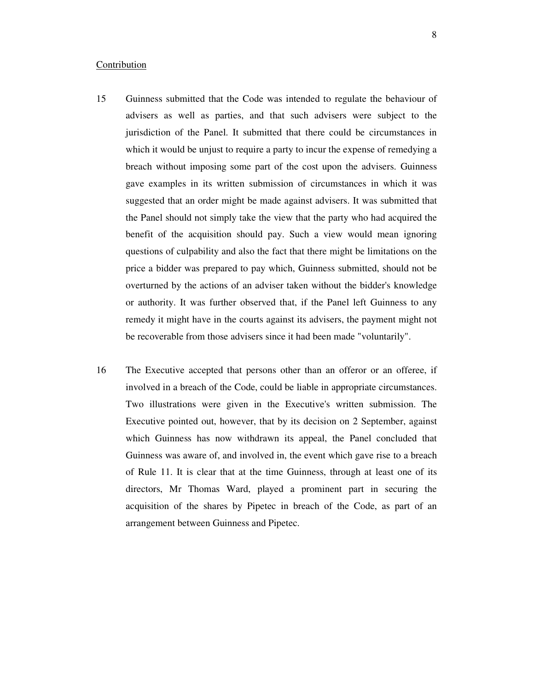#### Contribution

- 15 Guinness submitted that the Code was intended to regulate the behaviour of advisers as well as parties, and that such advisers were subject to the jurisdiction of the Panel. It submitted that there could be circumstances in which it would be unjust to require a party to incur the expense of remedying a breach without imposing some part of the cost upon the advisers. Guinness gave examples in its written submission of circumstances in which it was suggested that an order might be made against advisers. It was submitted that the Panel should not simply take the view that the party who had acquired the benefit of the acquisition should pay. Such a view would mean ignoring questions of culpability and also the fact that there might be limitations on the price a bidder was prepared to pay which, Guinness submitted, should not be overturned by the actions of an adviser taken without the bidder's knowledge or authority. It was further observed that, if the Panel left Guinness to any remedy it might have in the courts against its advisers, the payment might not be recoverable from those advisers since it had been made "voluntarily".
- 16 The Executive accepted that persons other than an offeror or an offeree, if involved in a breach of the Code, could be liable in appropriate circumstances. Two illustrations were given in the Executive's written submission. The Executive pointed out, however, that by its decision on 2 September, against which Guinness has now withdrawn its appeal, the Panel concluded that Guinness was aware of, and involved in, the event which gave rise to a breach of Rule 11. It is clear that at the time Guinness, through at least one of its directors, Mr Thomas Ward, played a prominent part in securing the acquisition of the shares by Pipetec in breach of the Code, as part of an arrangement between Guinness and Pipetec.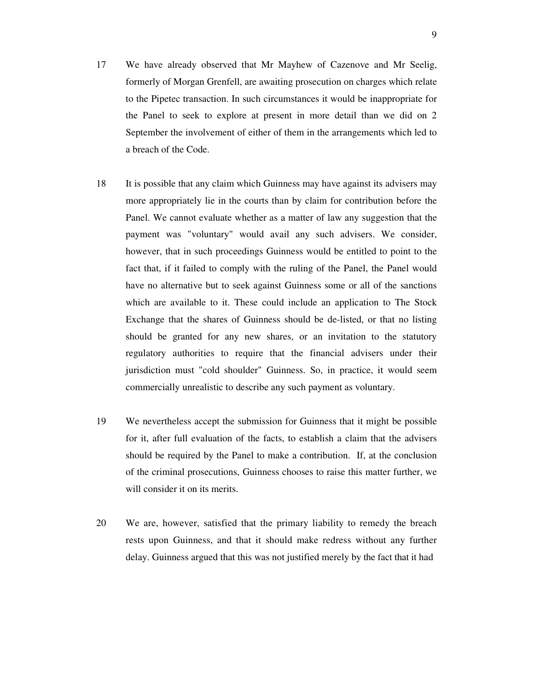- 17 We have already observed that Mr Mayhew of Cazenove and Mr Seelig, formerly of Morgan Grenfell, are awaiting prosecution on charges which relate to the Pipetec transaction. In such circumstances it would be inappropriate for the Panel to seek to explore at present in more detail than we did on 2 September the involvement of either of them in the arrangements which led to a breach of the Code.
- 18 It is possible that any claim which Guinness may have against its advisers may more appropriately lie in the courts than by claim for contribution before the Panel. We cannot evaluate whether as a matter of law any suggestion that the payment was "voluntary" would avail any such advisers. We consider, however, that in such proceedings Guinness would be entitled to point to the fact that, if it failed to comply with the ruling of the Panel, the Panel would have no alternative but to seek against Guinness some or all of the sanctions which are available to it. These could include an application to The Stock Exchange that the shares of Guinness should be de-listed, or that no listing should be granted for any new shares, or an invitation to the statutory regulatory authorities to require that the financial advisers under their jurisdiction must "cold shoulder" Guinness. So, in practice, it would seem commercially unrealistic to describe any such payment as voluntary.
- 19 We nevertheless accept the submission for Guinness that it might be possible for it, after full evaluation of the facts, to establish a claim that the advisers should be required by the Panel to make a contribution. If, at the conclusion of the criminal prosecutions, Guinness chooses to raise this matter further, we will consider it on its merits.
- 20 We are, however, satisfied that the primary liability to remedy the breach rests upon Guinness, and that it should make redress without any further delay. Guinness argued that this was not justified merely by the fact that it had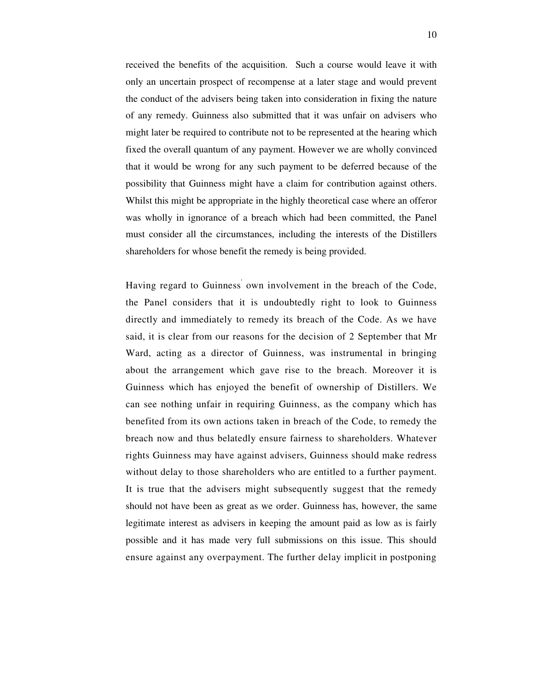received the benefits of the acquisition. Such a course would leave it with only an uncertain prospect of recompense at a later stage and would prevent the conduct of the advisers being taken into consideration in fixing the nature of any remedy. Guinness also submitted that it was unfair on advisers who might later be required to contribute not to be represented at the hearing which fixed the overall quantum of any payment. However we are wholly convinced that it would be wrong for any such payment to be deferred because of the possibility that Guinness might have a claim for contribution against others. Whilst this might be appropriate in the highly theoretical case where an offeror was wholly in ignorance of a breach which had been committed, the Panel must consider all the circumstances, including the interests of the Distillers shareholders for whose benefit the remedy is being provided.

Having regard to Guinness ' own involvement in the breach of the Code, the Panel considers that it is undoubtedly right to look to Guinness directly and immediately to remedy its breach of the Code. As we have said, it is clear from our reasons for the decision of 2 September that Mr Ward, acting as a director of Guinness, was instrumental in bringing about the arrangement which gave rise to the breach. Moreover it is Guinness which has enjoyed the benefit of ownership of Distillers. We can see nothing unfair in requiring Guinness, as the company which has benefited from its own actions taken in breach of the Code, to remedy the breach now and thus belatedly ensure fairness to shareholders. Whatever rights Guinness may have against advisers, Guinness should make redress without delay to those shareholders who are entitled to a further payment. It is true that the advisers might subsequently suggest that the remedy should not have been as great as we order. Guinness has, however, the same legitimate interest as advisers in keeping the amount paid as low as is fairly possible and it has made very full submissions on this issue. This should ensure against any overpayment. The further delay implicit in postponing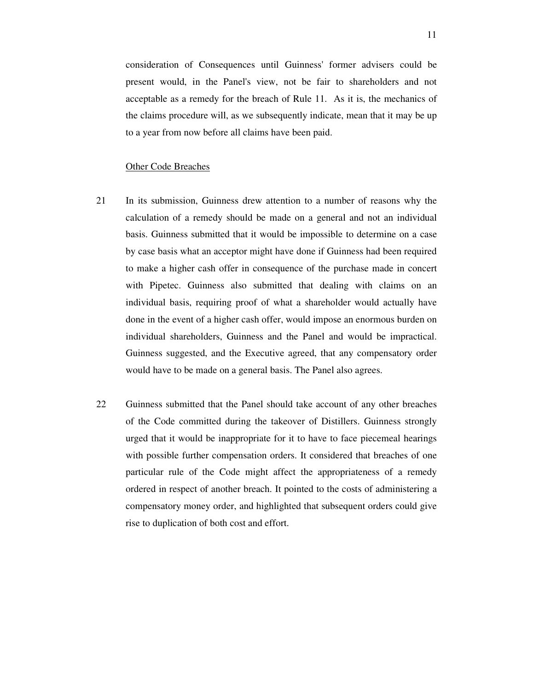consideration of Consequences until Guinness' former advisers could be present would, in the Panel's view, not be fair to shareholders and not acceptable as a remedy for the breach of Rule 11. As it is, the mechanics of the claims procedure will, as we subsequently indicate, mean that it may be up to a year from now before all claims have been paid.

### Other Code Breaches

- 21 In its submission, Guinness drew attention to a number of reasons why the calculation of a remedy should be made on a general and not an individual basis. Guinness submitted that it would be impossible to determine on a case by case basis what an acceptor might have done if Guinness had been required to make a higher cash offer in consequence of the purchase made in concert with Pipetec. Guinness also submitted that dealing with claims on an individual basis, requiring proof of what a shareholder would actually have done in the event of a higher cash offer, would impose an enormous burden on individual shareholders, Guinness and the Panel and would be impractical. Guinness suggested, and the Executive agreed, that any compensatory order would have to be made on a general basis. The Panel also agrees.
- 22 Guinness submitted that the Panel should take account of any other breaches of the Code committed during the takeover of Distillers. Guinness strongly urged that it would be inappropriate for it to have to face piecemeal hearings with possible further compensation orders. It considered that breaches of one particular rule of the Code might affect the appropriateness of a remedy ordered in respect of another breach. It pointed to the costs of administering a compensatory money order, and highlighted that subsequent orders could give rise to duplication of both cost and effort.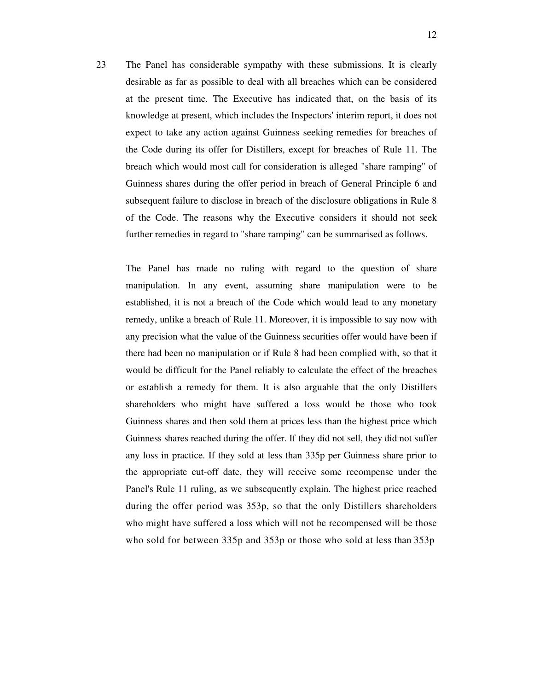23 The Panel has considerable sympathy with these submissions. It is clearly desirable as far as possible to deal with all breaches which can be considered at the present time. The Executive has indicated that, on the basis of its knowledge at present, which includes the Inspectors' interim report, it does not expect to take any action against Guinness seeking remedies for breaches of the Code during its offer for Distillers, except for breaches of Rule 11. The breach which would most call for consideration is alleged "share ramping" of Guinness shares during the offer period in breach of General Principle 6 and subsequent failure to disclose in breach of the disclosure obligations in Rule 8 of the Code. The reasons why the Executive considers it should not seek further remedies in regard to "share ramping" can be summarised as follows.

The Panel has made no ruling with regard to the question of share manipulation. In any event, assuming share manipulation were to be established, it is not a breach of the Code which would lead to any monetary remedy, unlike a breach of Rule 11. Moreover, it is impossible to say now with any precision what the value of the Guinness securities offer would have been if there had been no manipulation or if Rule 8 had been complied with, so that it would be difficult for the Panel reliably to calculate the effect of the breaches or establish a remedy for them. It is also arguable that the only Distillers shareholders who might have suffered a loss would be those who took Guinness shares and then sold them at prices less than the highest price which Guinness shares reached during the offer. If they did not sell, they did not suffer any loss in practice. If they sold at less than 335p per Guinness share prior to the appropriate cut-off date, they will receive some recompense under the Panel's Rule 11 ruling, as we subsequently explain. The highest price reached during the offer period was 353p, so that the only Distillers shareholders who might have suffered a loss which will not be recompensed will be those who sold for between 335p and 353p or those who sold at less than 353p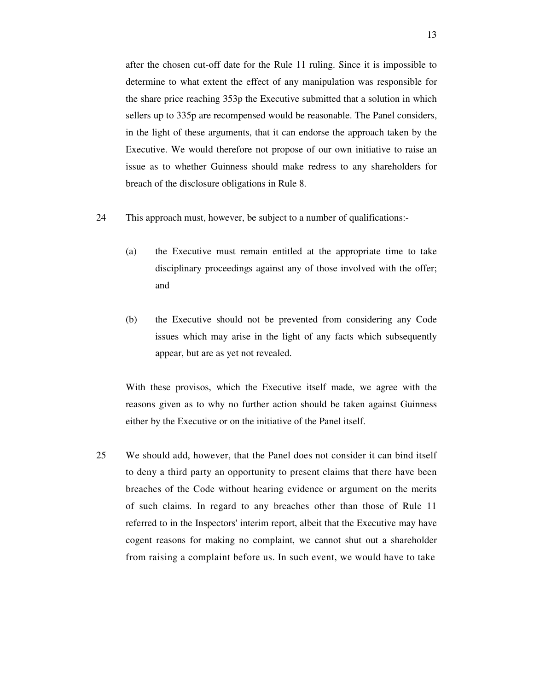after the chosen cut-off date for the Rule 11 ruling. Since it is impossible to determine to what extent the effect of any manipulation was responsible for the share price reaching 353p the Executive submitted that a solution in which sellers up to 335p are recompensed would be reasonable. The Panel considers, in the light of these arguments, that it can endorse the approach taken by the Executive. We would therefore not propose of our own initiative to raise an issue as to whether Guinness should make redress to any shareholders for breach of the disclosure obligations in Rule 8.

- 24 This approach must, however, be subject to a number of qualifications:-
	- (a) the Executive must remain entitled at the appropriate time to take disciplinary proceedings against any of those involved with the offer; and
	- (b) the Executive should not be prevented from considering any Code issues which may arise in the light of any facts which subsequently appear, but are as yet not revealed.

With these provisos, which the Executive itself made, we agree with the reasons given as to why no further action should be taken against Guinness either by the Executive or on the initiative of the Panel itself.

25 We should add, however, that the Panel does not consider it can bind itself to deny a third party an opportunity to present claims that there have been breaches of the Code without hearing evidence or argument on the merits of such claims. In regard to any breaches other than those of Rule 11 referred to in the Inspectors' interim report, albeit that the Executive may have cogent reasons for making no complaint, we cannot shut out a shareholder from raising a complaint before us. In such event, we would have to take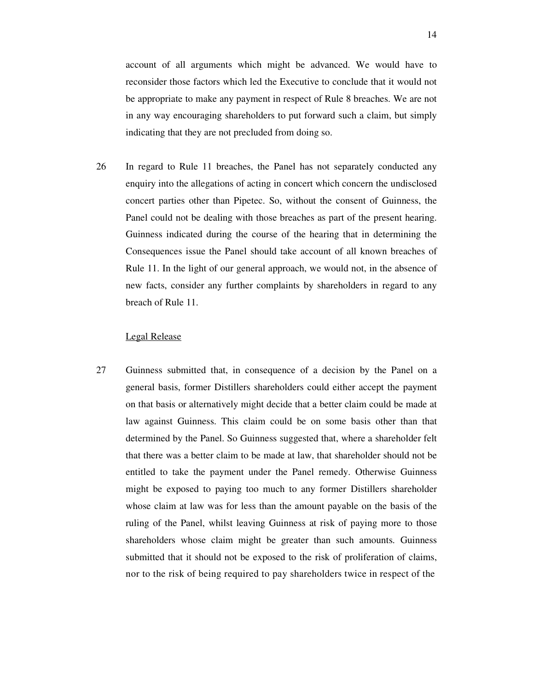account of all arguments which might be advanced. We would have to reconsider those factors which led the Executive to conclude that it would not be appropriate to make any payment in respect of Rule 8 breaches. We are not in any way encouraging shareholders to put forward such a claim, but simply indicating that they are not precluded from doing so.

26 In regard to Rule 11 breaches, the Panel has not separately conducted any enquiry into the allegations of acting in concert which concern the undisclosed concert parties other than Pipetec. So, without the consent of Guinness, the Panel could not be dealing with those breaches as part of the present hearing. Guinness indicated during the course of the hearing that in determining the Consequences issue the Panel should take account of all known breaches of Rule 11. In the light of our general approach, we would not, in the absence of new facts, consider any further complaints by shareholders in regard to any breach of Rule 11.

#### Legal Release

27 Guinness submitted that, in consequence of a decision by the Panel on a general basis, former Distillers shareholders could either accept the payment on that basis or alternatively might decide that a better claim could be made at law against Guinness. This claim could be on some basis other than that determined by the Panel. So Guinness suggested that, where a shareholder felt that there was a better claim to be made at law, that shareholder should not be entitled to take the payment under the Panel remedy. Otherwise Guinness might be exposed to paying too much to any former Distillers shareholder whose claim at law was for less than the amount payable on the basis of the ruling of the Panel, whilst leaving Guinness at risk of paying more to those shareholders whose claim might be greater than such amounts. Guinness submitted that it should not be exposed to the risk of proliferation of claims, nor to the risk of being required to pay shareholders twice in respect of the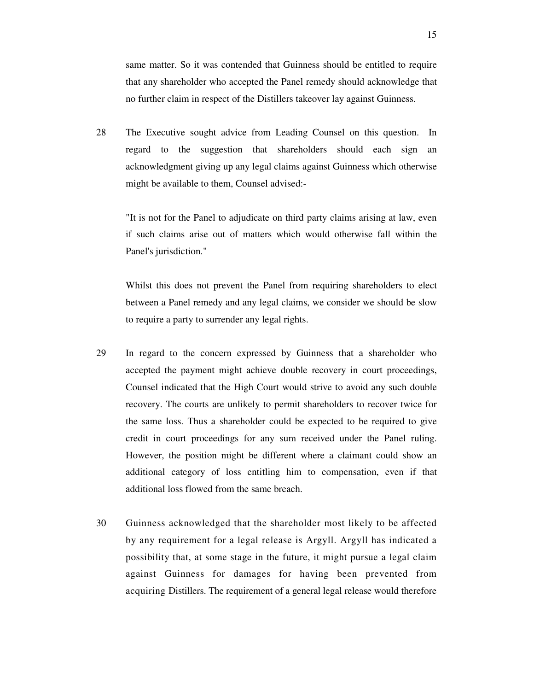same matter. So it was contended that Guinness should be entitled to require that any shareholder who accepted the Panel remedy should acknowledge that no further claim in respect of the Distillers takeover lay against Guinness.

28 The Executive sought advice from Leading Counsel on this question. In regard to the suggestion that shareholders should each sign an acknowledgment giving up any legal claims against Guinness which otherwise might be available to them, Counsel advised:-

"It is not for the Panel to adjudicate on third party claims arising at law, even if such claims arise out of matters which would otherwise fall within the Panel's jurisdiction."

Whilst this does not prevent the Panel from requiring shareholders to elect between a Panel remedy and any legal claims, we consider we should be slow to require a party to surrender any legal rights.

- 29 In regard to the concern expressed by Guinness that a shareholder who accepted the payment might achieve double recovery in court proceedings, Counsel indicated that the High Court would strive to avoid any such double recovery. The courts are unlikely to permit shareholders to recover twice for the same loss. Thus a shareholder could be expected to be required to give credit in court proceedings for any sum received under the Panel ruling. However, the position might be different where a claimant could show an additional category of loss entitling him to compensation, even if that additional loss flowed from the same breach.
- 30 Guinness acknowledged that the shareholder most likely to be affected by any requirement for a legal release is Argyll. Argyll has indicated a possibility that, at some stage in the future, it might pursue a legal claim against Guinness for damages for having been prevented from acquiring Distillers. The requirement of a general legal release would therefore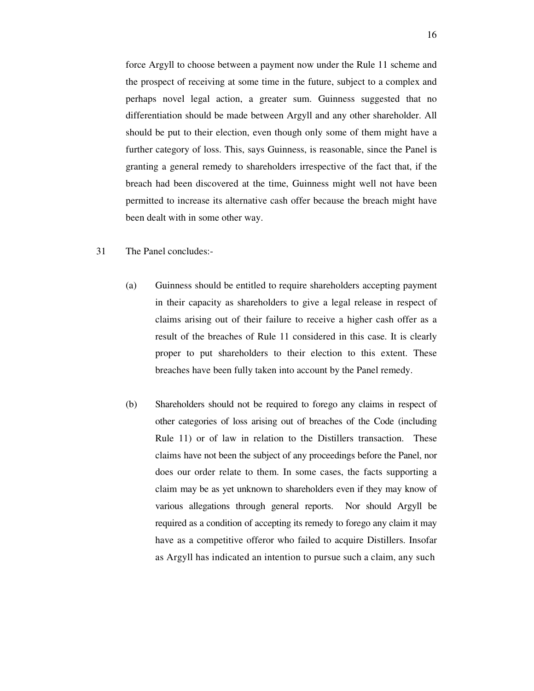force Argyll to choose between a payment now under the Rule 11 scheme and the prospect of receiving at some time in the future, subject to a complex and perhaps novel legal action, a greater sum. Guinness suggested that no differentiation should be made between Argyll and any other shareholder. All should be put to their election, even though only some of them might have a further category of loss. This, says Guinness, is reasonable, since the Panel is granting a general remedy to shareholders irrespective of the fact that, if the breach had been discovered at the time, Guinness might well not have been permitted to increase its alternative cash offer because the breach might have been dealt with in some other way.

- 31 The Panel concludes:-
	- (a) Guinness should be entitled to require shareholders accepting payment in their capacity as shareholders to give a legal release in respect of claims arising out of their failure to receive a higher cash offer as a result of the breaches of Rule 11 considered in this case. It is clearly proper to put shareholders to their election to this extent. These breaches have been fully taken into account by the Panel remedy.
	- (b) Shareholders should not be required to forego any claims in respect of other categories of loss arising out of breaches of the Code (including Rule 11) or of law in relation to the Distillers transaction. These claims have not been the subject of any proceedings before the Panel, nor does our order relate to them. In some cases, the facts supporting a claim may be as yet unknown to shareholders even if they may know of various allegations through general reports. Nor should Argyll be required as a condition of accepting its remedy to forego any claim it may have as a competitive offeror who failed to acquire Distillers. Insofar as Argyll has indicated an intention to pursue such a claim, any such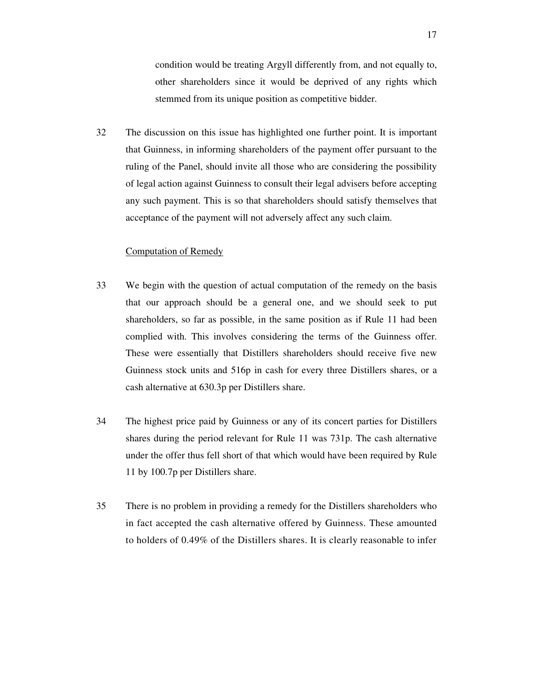condition would be treating Argyll differently from, and not equally to, other shareholders since it would be deprived of any rights which stemmed from its unique position as competitive bidder.

32 The discussion on this issue has highlighted one further point. It is important that Guinness, in informing shareholders of the payment offer pursuant to the ruling of the Panel, should invite all those who are considering the possibility of legal action against Guinness to consult their legal advisers before accepting any such payment. This is so that shareholders should satisfy themselves that acceptance of the payment will not adversely affect any such claim.

#### Computation of Remedy

- 33 We begin with the question of actual computation of the remedy on the basis that our approach should be a general one, and we should seek to put shareholders, so far as possible, in the same position as if Rule 11 had been complied with. This involves considering the terms of the Guinness offer. These were essentially that Distillers shareholders should receive five new Guinness stock units and 516p in cash for every three Distillers shares, or a cash alternative at 630.3p per Distillers share.
- 34 The highest price paid by Guinness or any of its concert parties for Distillers shares during the period relevant for Rule 11 was 731p. The cash alternative under the offer thus fell short of that which would have been required by Rule 11 by 100.7p per Distillers share.
- 35 There is no problem in providing a remedy for the Distillers shareholders who in fact accepted the cash alternative offered by Guinness. These amounted to holders of 0.49% of the Distillers shares. It is clearly reasonable to infer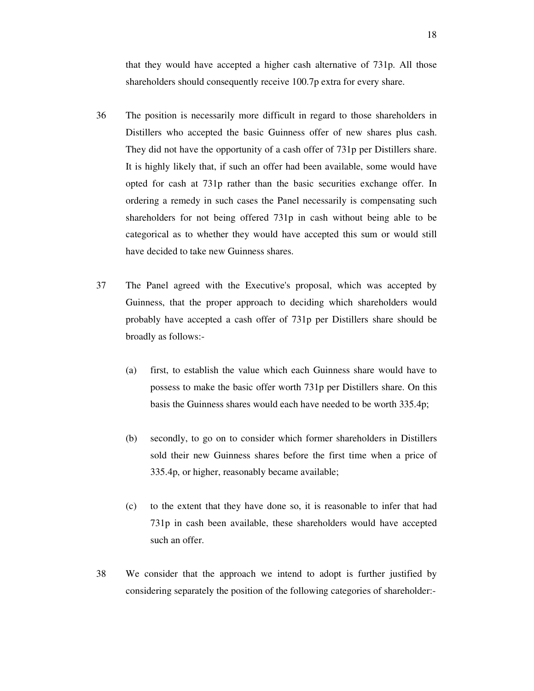that they would have accepted a higher cash alternative of 731p. All those shareholders should consequently receive 100.7p extra for every share.

- 36 The position is necessarily more difficult in regard to those shareholders in Distillers who accepted the basic Guinness offer of new shares plus cash. They did not have the opportunity of a cash offer of 731p per Distillers share. It is highly likely that, if such an offer had been available, some would have opted for cash at 731p rather than the basic securities exchange offer. In ordering a remedy in such cases the Panel necessarily is compensating such shareholders for not being offered 731p in cash without being able to be categorical as to whether they would have accepted this sum or would still have decided to take new Guinness shares.
- 37 The Panel agreed with the Executive's proposal, which was accepted by Guinness, that the proper approach to deciding which shareholders would probably have accepted a cash offer of 731p per Distillers share should be broadly as follows:-
	- (a) first, to establish the value which each Guinness share would have to possess to make the basic offer worth 731p per Distillers share. On this basis the Guinness shares would each have needed to be worth 335.4p;
	- (b) secondly, to go on to consider which former shareholders in Distillers sold their new Guinness shares before the first time when a price of 335.4p, or higher, reasonably became available;
	- (c) to the extent that they have done so, it is reasonable to infer that had 731p in cash been available, these shareholders would have accepted such an offer.
- 38 We consider that the approach we intend to adopt is further justified by considering separately the position of the following categories of shareholder:-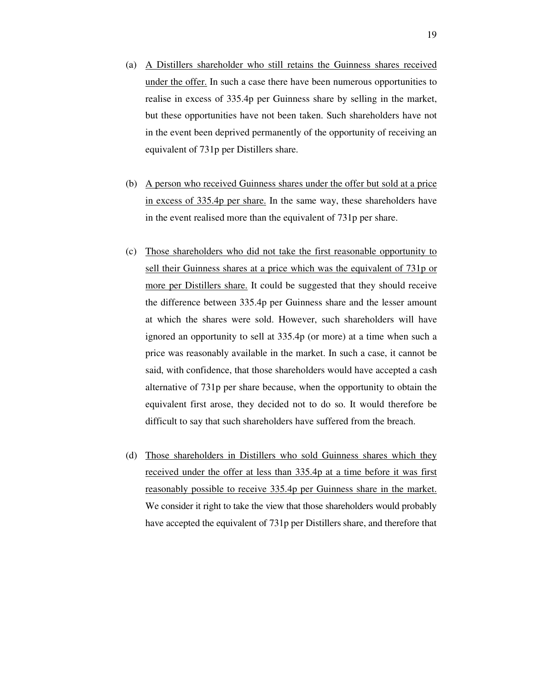- (a) A Distillers shareholder who still retains the Guinness shares received under the offer. In such a case there have been numerous opportunities to realise in excess of 335.4p per Guinness share by selling in the market, but these opportunities have not been taken. Such shareholders have not in the event been deprived permanently of the opportunity of receiving an equivalent of 731p per Distillers share.
- (b) A person who received Guinness shares under the offer but sold at a price in excess of 335.4p per share. In the same way, these shareholders have in the event realised more than the equivalent of 731p per share.
- (c) Those shareholders who did not take the first reasonable opportunity to sell their Guinness shares at a price which was the equivalent of 731p or more per Distillers share. It could be suggested that they should receive the difference between 335.4p per Guinness share and the lesser amount at which the shares were sold. However, such shareholders will have ignored an opportunity to sell at 335.4p (or more) at a time when such a price was reasonably available in the market. In such a case, it cannot be said, with confidence, that those shareholders would have accepted a cash alternative of 731p per share because, when the opportunity to obtain the equivalent first arose, they decided not to do so. It would therefore be difficult to say that such shareholders have suffered from the breach.
- (d) Those shareholders in Distillers who sold Guinness shares which they received under the offer at less than 335.4p at a time before it was first reasonably possible to receive 335.4p per Guinness share in the market. We consider it right to take the view that those shareholders would probably have accepted the equivalent of 731p per Distillers share, and therefore that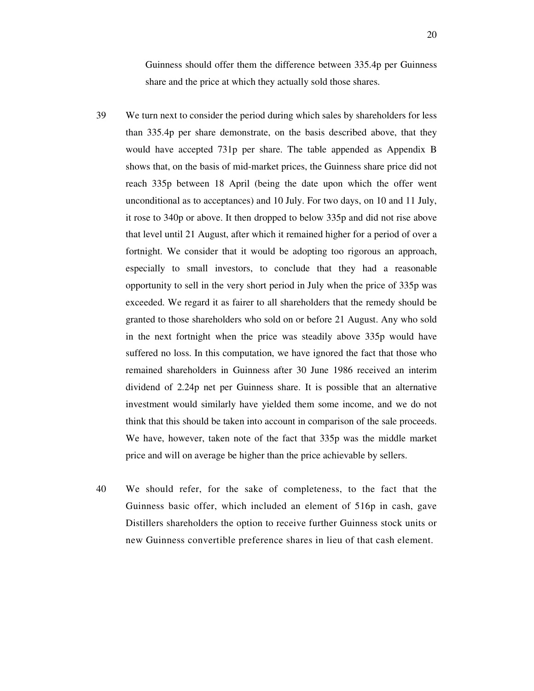Guinness should offer them the difference between 335.4p per Guinness share and the price at which they actually sold those shares.

- 39 We turn next to consider the period during which sales by shareholders for less than 335.4p per share demonstrate, on the basis described above, that they would have accepted 731p per share. The table appended as Appendix B shows that, on the basis of mid-market prices, the Guinness share price did not reach 335p between 18 April (being the date upon which the offer went unconditional as to acceptances) and 10 July. For two days, on 10 and 11 July, it rose to 340p or above. It then dropped to below 335p and did not rise above that level until 21 August, after which it remained higher for a period of over a fortnight. We consider that it would be adopting too rigorous an approach, especially to small investors, to conclude that they had a reasonable opportunity to sell in the very short period in July when the price of 335p was exceeded. We regard it as fairer to all shareholders that the remedy should be granted to those shareholders who sold on or before 21 August. Any who sold in the next fortnight when the price was steadily above 335p would have suffered no loss. In this computation, we have ignored the fact that those who remained shareholders in Guinness after 30 June 1986 received an interim dividend of 2.24p net per Guinness share. It is possible that an alternative investment would similarly have yielded them some income, and we do not think that this should be taken into account in comparison of the sale proceeds. We have, however, taken note of the fact that 335p was the middle market price and will on average be higher than the price achievable by sellers.
- 40 We should refer, for the sake of completeness, to the fact that the Guinness basic offer, which included an element of 516p in cash, gave Distillers shareholders the option to receive further Guinness stock units or new Guinness convertible preference shares in lieu of that cash element.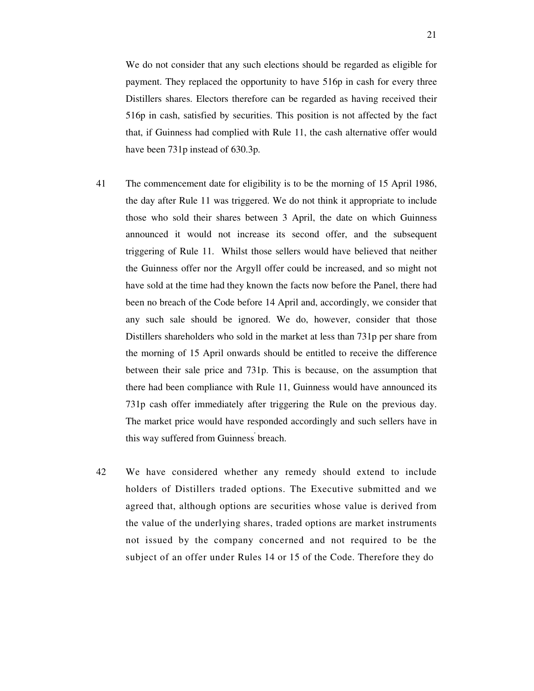We do not consider that any such elections should be regarded as eligible for payment. They replaced the opportunity to have 516p in cash for every three Distillers shares. Electors therefore can be regarded as having received their 516p in cash, satisfied by securities. This position is not affected by the fact that, if Guinness had complied with Rule 11, the cash alternative offer would have been 731p instead of 630.3p.

- 41 The commencement date for eligibility is to be the morning of 15 April 1986, the day after Rule 11 was triggered. We do not think it appropriate to include those who sold their shares between 3 April, the date on which Guinness announced it would not increase its second offer, and the subsequent triggering of Rule 11. Whilst those sellers would have believed that neither the Guinness offer nor the Argyll offer could be increased, and so might not have sold at the time had they known the facts now before the Panel, there had been no breach of the Code before 14 April and, accordingly, we consider that any such sale should be ignored. We do, however, consider that those Distillers shareholders who sold in the market at less than 731p per share from the morning of 15 April onwards should be entitled to receive the difference between their sale price and 731p. This is because, on the assumption that there had been compliance with Rule 11, Guinness would have announced its 731p cash offer immediately after triggering the Rule on the previous day. The market price would have responded accordingly and such sellers have in this way suffered from Guinness ' breach.
- 42 We have considered whether any remedy should extend to include holders of Distillers traded options. The Executive submitted and we agreed that, although options are securities whose value is derived from the value of the underlying shares, traded options are market instruments not issued by the company concerned and not required to be the subject of an offer under Rules 14 or 15 of the Code. Therefore they do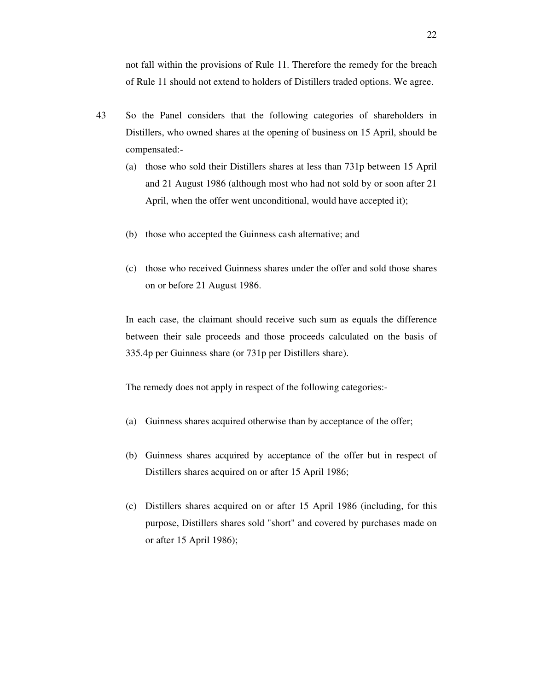not fall within the provisions of Rule 11. Therefore the remedy for the breach of Rule 11 should not extend to holders of Distillers traded options. We agree.

- 43 So the Panel considers that the following categories of shareholders in Distillers, who owned shares at the opening of business on 15 April, should be compensated:-
	- (a) those who sold their Distillers shares at less than 731p between 15 April and 21 August 1986 (although most who had not sold by or soon after 21 April, when the offer went unconditional, would have accepted it);
	- (b) those who accepted the Guinness cash alternative; and
	- (c) those who received Guinness shares under the offer and sold those shares on or before 21 August 1986.

In each case, the claimant should receive such sum as equals the difference between their sale proceeds and those proceeds calculated on the basis of 335.4p per Guinness share (or 731p per Distillers share).

The remedy does not apply in respect of the following categories:-

- (a) Guinness shares acquired otherwise than by acceptance of the offer;
- (b) Guinness shares acquired by acceptance of the offer but in respect of Distillers shares acquired on or after 15 April 1986;
- (c) Distillers shares acquired on or after 15 April 1986 (including, for this purpose, Distillers shares sold "short" and covered by purchases made on or after 15 April 1986);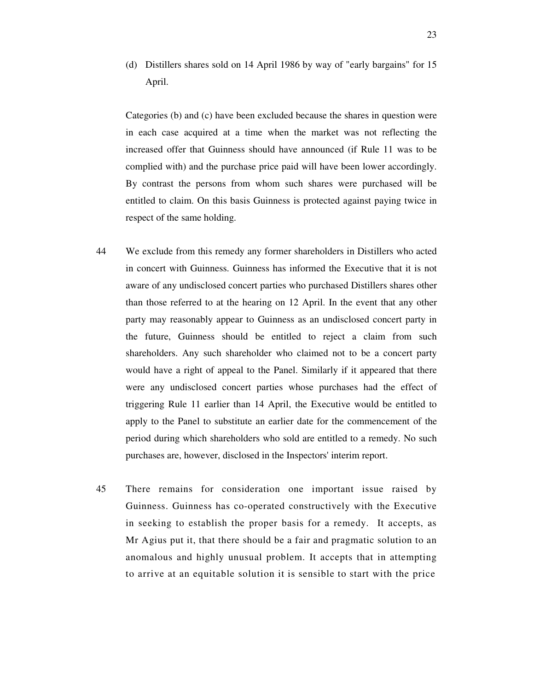(d) Distillers shares sold on 14 April 1986 by way of "early bargains" for 15 April.

Categories (b) and (c) have been excluded because the shares in question were in each case acquired at a time when the market was not reflecting the increased offer that Guinness should have announced (if Rule 11 was to be complied with) and the purchase price paid will have been lower accordingly. By contrast the persons from whom such shares were purchased will be entitled to claim. On this basis Guinness is protected against paying twice in respect of the same holding.

- 44 We exclude from this remedy any former shareholders in Distillers who acted in concert with Guinness. Guinness has informed the Executive that it is not aware of any undisclosed concert parties who purchased Distillers shares other than those referred to at the hearing on 12 April. In the event that any other party may reasonably appear to Guinness as an undisclosed concert party in the future, Guinness should be entitled to reject a claim from such shareholders. Any such shareholder who claimed not to be a concert party would have a right of appeal to the Panel. Similarly if it appeared that there were any undisclosed concert parties whose purchases had the effect of triggering Rule 11 earlier than 14 April, the Executive would be entitled to apply to the Panel to substitute an earlier date for the commencement of the period during which shareholders who sold are entitled to a remedy. No such purchases are, however, disclosed in the Inspectors' interim report.
- 45 There remains for consideration one important issue raised by Guinness. Guinness has co-operated constructively with the Executive in seeking to establish the proper basis for a remedy. It accepts, as Mr Agius put it, that there should be a fair and pragmatic solution to an anomalous and highly unusual problem. It accepts that in attempting to arrive at an equitable solution it is sensible to start with the price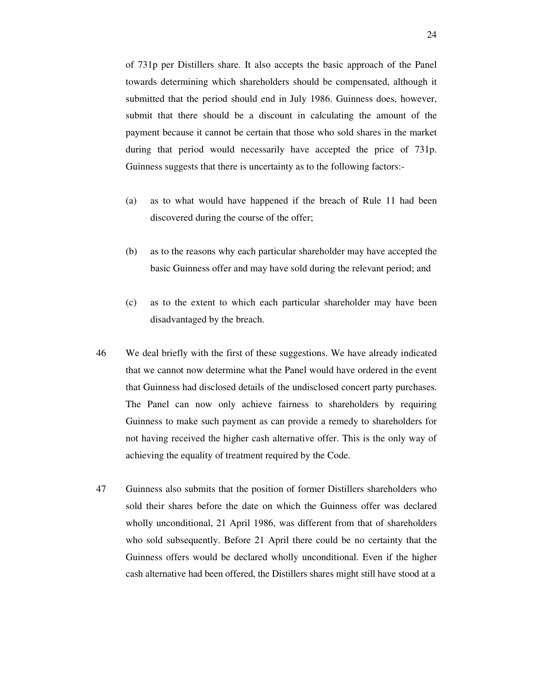of 731p per Distillers share. It also accepts the basic approach of the Panel towards determining which shareholders should be compensated, although it submitted that the period should end in July 1986. Guinness does, however, submit that there should be a discount in calculating the amount of the payment because it cannot be certain that those who sold shares in the market during that period would necessarily have accepted the price of 731p. Guinness suggests that there is uncertainty as to the following factors:-

- (a) as to what would have happened if the breach of Rule 11 had been discovered during the course of the offer;
- (b) as to the reasons why each particular shareholder may have accepted the basic Guinness offer and may have sold during the relevant period; and
- (c) as to the extent to which each particular shareholder may have been disadvantaged by the breach.
- 46 We deal briefly with the first of these suggestions. We have already indicated that we cannot now determine what the Panel would have ordered in the event that Guinness had disclosed details of the undisclosed concert party purchases. The Panel can now only achieve fairness to shareholders by requiring Guinness to make such payment as can provide a remedy to shareholders for not having received the higher cash alternative offer. This is the only way of achieving the equality of treatment required by the Code.
- 47 Guinness also submits that the position of former Distillers shareholders who sold their shares before the date on which the Guinness offer was declared wholly unconditional, 21 April 1986, was different from that of shareholders who sold subsequently. Before 21 April there could be no certainty that the Guinness offers would be declared wholly unconditional. Even if the higher cash alternative had been offered, the Distillers shares might still have stood at a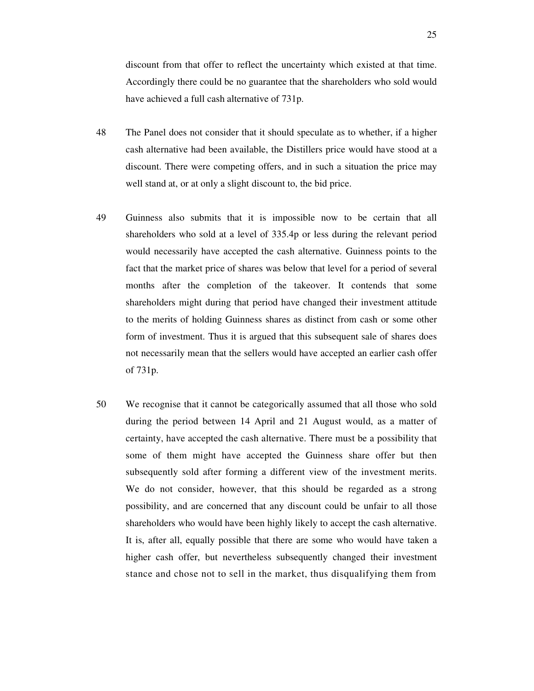discount from that offer to reflect the uncertainty which existed at that time. Accordingly there could be no guarantee that the shareholders who sold would have achieved a full cash alternative of 731p.

- 48 The Panel does not consider that it should speculate as to whether, if a higher cash alternative had been available, the Distillers price would have stood at a discount. There were competing offers, and in such a situation the price may well stand at, or at only a slight discount to, the bid price.
- 49 Guinness also submits that it is impossible now to be certain that all shareholders who sold at a level of 335.4p or less during the relevant period would necessarily have accepted the cash alternative. Guinness points to the fact that the market price of shares was below that level for a period of several months after the completion of the takeover. It contends that some shareholders might during that period have changed their investment attitude to the merits of holding Guinness shares as distinct from cash or some other form of investment. Thus it is argued that this subsequent sale of shares does not necessarily mean that the sellers would have accepted an earlier cash offer of 731p.
- 50 We recognise that it cannot be categorically assumed that all those who sold during the period between 14 April and 21 August would, as a matter of certainty, have accepted the cash alternative. There must be a possibility that some of them might have accepted the Guinness share offer but then subsequently sold after forming a different view of the investment merits. We do not consider, however, that this should be regarded as a strong possibility, and are concerned that any discount could be unfair to all those shareholders who would have been highly likely to accept the cash alternative. It is, after all, equally possible that there are some who would have taken a higher cash offer, but nevertheless subsequently changed their investment stance and chose not to sell in the market, thus disqualifying them from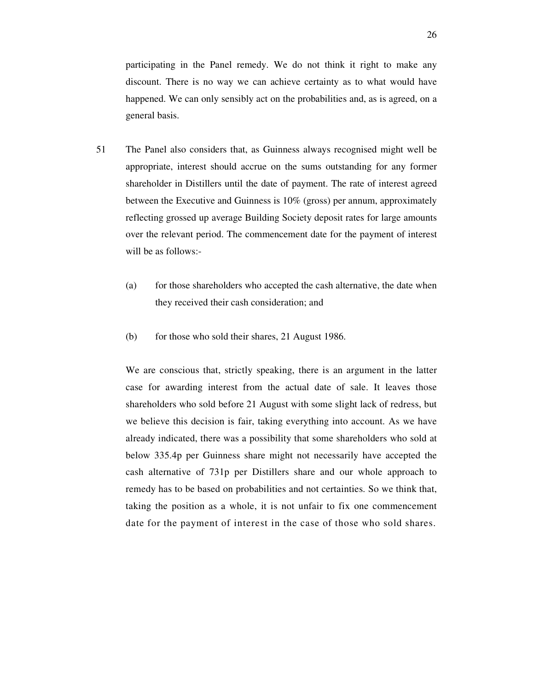participating in the Panel remedy. We do not think it right to make any discount. There is no way we can achieve certainty as to what would have happened. We can only sensibly act on the probabilities and, as is agreed, on a general basis.

- 51 The Panel also considers that, as Guinness always recognised might well be appropriate, interest should accrue on the sums outstanding for any former shareholder in Distillers until the date of payment. The rate of interest agreed between the Executive and Guinness is 10% (gross) per annum, approximately reflecting grossed up average Building Society deposit rates for large amounts over the relevant period. The commencement date for the payment of interest will be as follows:-
	- (a) for those shareholders who accepted the cash alternative, the date when they received their cash consideration; and
	- (b) for those who sold their shares, 21 August 1986.

We are conscious that, strictly speaking, there is an argument in the latter case for awarding interest from the actual date of sale. It leaves those shareholders who sold before 21 August with some slight lack of redress, but we believe this decision is fair, taking everything into account. As we have already indicated, there was a possibility that some shareholders who sold at below 335.4p per Guinness share might not necessarily have accepted the cash alternative of 731p per Distillers share and our whole approach to remedy has to be based on probabilities and not certainties. So we think that, taking the position as a whole, it is not unfair to fix one commencement date for the payment of interest in the case of those who sold shares.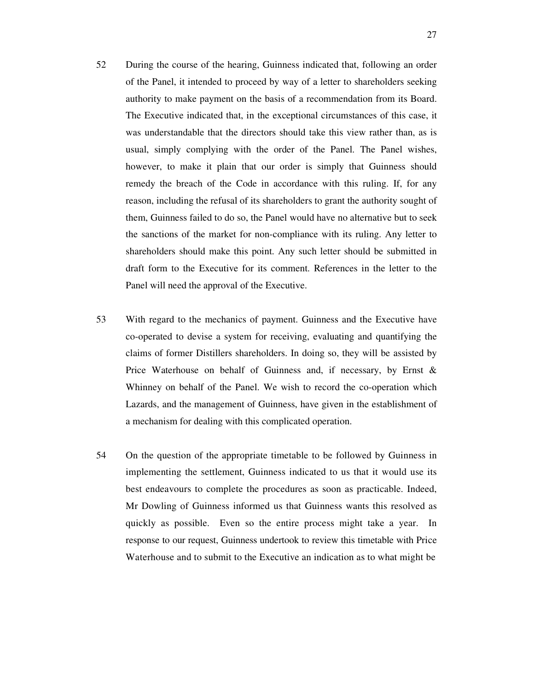- 52 During the course of the hearing, Guinness indicated that, following an order of the Panel, it intended to proceed by way of a letter to shareholders seeking authority to make payment on the basis of a recommendation from its Board. The Executive indicated that, in the exceptional circumstances of this case, it was understandable that the directors should take this view rather than, as is usual, simply complying with the order of the Panel. The Panel wishes, however, to make it plain that our order is simply that Guinness should remedy the breach of the Code in accordance with this ruling. If, for any reason, including the refusal of its shareholders to grant the authority sought of them, Guinness failed to do so, the Panel would have no alternative but to seek the sanctions of the market for non-compliance with its ruling. Any letter to shareholders should make this point. Any such letter should be submitted in draft form to the Executive for its comment. References in the letter to the Panel will need the approval of the Executive.
- 53 With regard to the mechanics of payment. Guinness and the Executive have co-operated to devise a system for receiving, evaluating and quantifying the claims of former Distillers shareholders. In doing so, they will be assisted by Price Waterhouse on behalf of Guinness and, if necessary, by Ernst & Whinney on behalf of the Panel. We wish to record the co-operation which Lazards, and the management of Guinness, have given in the establishment of a mechanism for dealing with this complicated operation.
- 54 On the question of the appropriate timetable to be followed by Guinness in implementing the settlement, Guinness indicated to us that it would use its best endeavours to complete the procedures as soon as practicable. Indeed, Mr Dowling of Guinness informed us that Guinness wants this resolved as quickly as possible. Even so the entire process might take a year. In response to our request, Guinness undertook to review this timetable with Price Waterhouse and to submit to the Executive an indication as to what might be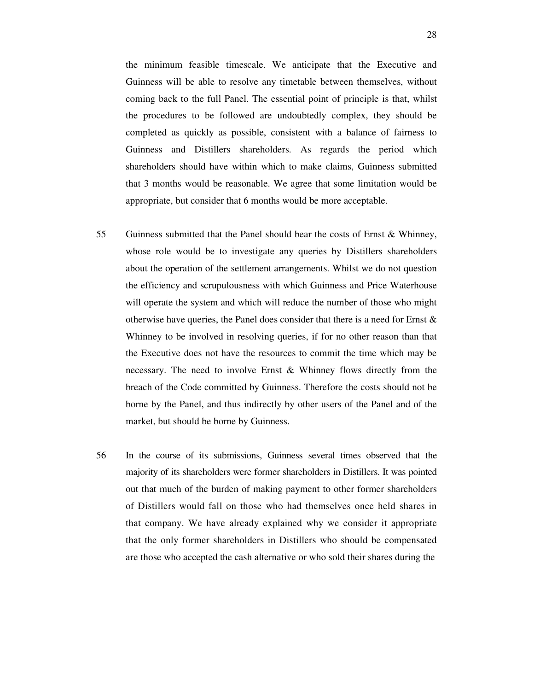the minimum feasible timescale. We anticipate that the Executive and Guinness will be able to resolve any timetable between themselves, without coming back to the full Panel. The essential point of principle is that, whilst the procedures to be followed are undoubtedly complex, they should be completed as quickly as possible, consistent with a balance of fairness to Guinness and Distillers shareholders. As regards the period which shareholders should have within which to make claims, Guinness submitted that 3 months would be reasonable. We agree that some limitation would be appropriate, but consider that 6 months would be more acceptable.

- 55 Guinness submitted that the Panel should bear the costs of Ernst  $\&$  Whinney, whose role would be to investigate any queries by Distillers shareholders about the operation of the settlement arrangements. Whilst we do not question the efficiency and scrupulousness with which Guinness and Price Waterhouse will operate the system and which will reduce the number of those who might otherwise have queries, the Panel does consider that there is a need for Ernst  $\&$ Whinney to be involved in resolving queries, if for no other reason than that the Executive does not have the resources to commit the time which may be necessary. The need to involve Ernst  $\&$  Whinney flows directly from the breach of the Code committed by Guinness. Therefore the costs should not be borne by the Panel, and thus indirectly by other users of the Panel and of the market, but should be borne by Guinness.
- 56 In the course of its submissions, Guinness several times observed that the majority of its shareholders were former shareholders in Distillers. It was pointed out that much of the burden of making payment to other former shareholders of Distillers would fall on those who had themselves once held shares in that company. We have already explained why we consider it appropriate that the only former shareholders in Distillers who should be compensated are those who accepted the cash alternative or who sold their shares during the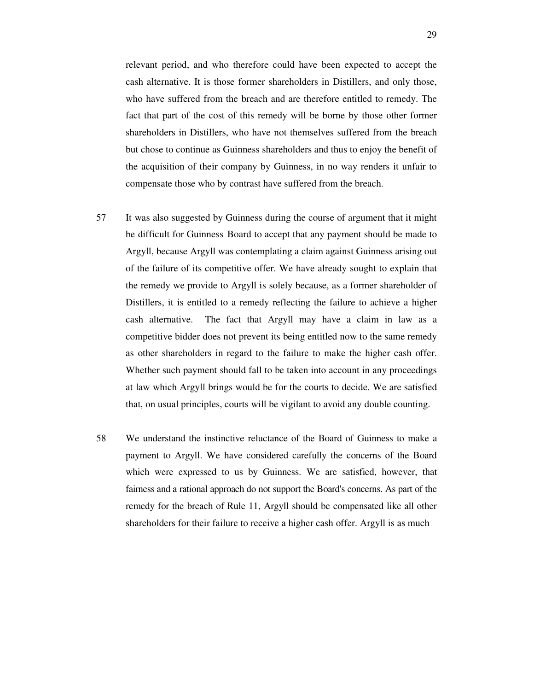relevant period, and who therefore could have been expected to accept the cash alternative. It is those former shareholders in Distillers, and only those, who have suffered from the breach and are therefore entitled to remedy. The fact that part of the cost of this remedy will be borne by those other former shareholders in Distillers, who have not themselves suffered from the breach but chose to continue as Guinness shareholders and thus to enjoy the benefit of the acquisition of their company by Guinness, in no way renders it unfair to compensate those who by contrast have suffered from the breach.

- 57 It was also suggested by Guinness during the course of argument that it might be difficult for Guinness ' Board to accept that any payment should be made to Argyll, because Argyll was contemplating a claim against Guinness arising out of the failure of its competitive offer. We have already sought to explain that the remedy we provide to Argyll is solely because, as a former shareholder of Distillers, it is entitled to a remedy reflecting the failure to achieve a higher cash alternative. The fact that Argyll may have a claim in law as a competitive bidder does not prevent its being entitled now to the same remedy as other shareholders in regard to the failure to make the higher cash offer. Whether such payment should fall to be taken into account in any proceedings at law which Argyll brings would be for the courts to decide. We are satisfied that, on usual principles, courts will be vigilant to avoid any double counting.
- 58 We understand the instinctive reluctance of the Board of Guinness to make a payment to Argyll. We have considered carefully the concerns of the Board which were expressed to us by Guinness. We are satisfied, however, that fairness and a rational approach do not support the Board's concerns. As part of the remedy for the breach of Rule 11, Argyll should be compensated like all other shareholders for their failure to receive a higher cash offer. Argyll is as much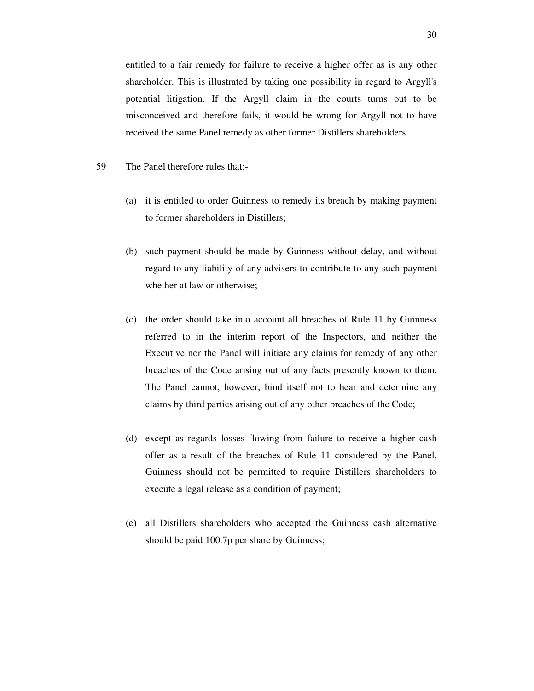entitled to a fair remedy for failure to receive a higher offer as is any other shareholder. This is illustrated by taking one possibility in regard to Argyll's potential litigation. If the Argyll claim in the courts turns out to be misconceived and therefore fails, it would be wrong for Argyll not to have received the same Panel remedy as other former Distillers shareholders.

- 59 The Panel therefore rules that:-
	- (a) it is entitled to order Guinness to remedy its breach by making payment to former shareholders in Distillers;
	- (b) such payment should be made by Guinness without delay, and without regard to any liability of any advisers to contribute to any such payment whether at law or otherwise;
	- (c) the order should take into account all breaches of Rule 11 by Guinness referred to in the interim report of the Inspectors, and neither the Executive nor the Panel will initiate any claims for remedy of any other breaches of the Code arising out of any facts presently known to them. The Panel cannot, however, bind itself not to hear and determine any claims by third parties arising out of any other breaches of the Code;
	- (d) except as regards losses flowing from failure to receive a higher cash offer as a result of the breaches of Rule 11 considered by the Panel, Guinness should not be permitted to require Distillers shareholders to execute a legal release as a condition of payment;
	- (e) all Distillers shareholders who accepted the Guinness cash alternative should be paid 100.7p per share by Guinness;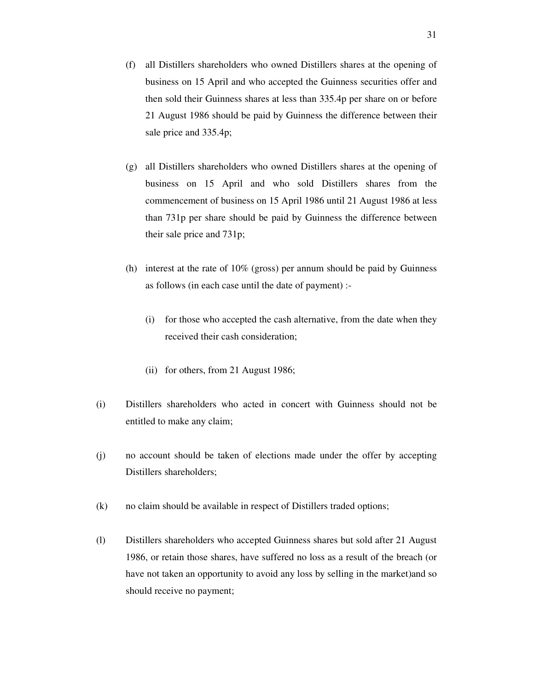- (f) all Distillers shareholders who owned Distillers shares at the opening of business on 15 April and who accepted the Guinness securities offer and then sold their Guinness shares at less than 335.4p per share on or before 21 August 1986 should be paid by Guinness the difference between their sale price and 335.4p;
- (g) all Distillers shareholders who owned Distillers shares at the opening of business on 15 April and who sold Distillers shares from the commencement of business on 15 April 1986 until 21 August 1986 at less than 731p per share should be paid by Guinness the difference between their sale price and 731p;
- (h) interest at the rate of 10% (gross) per annum should be paid by Guinness as follows (in each case until the date of payment) :-
	- (i) for those who accepted the cash alternative, from the date when they received their cash consideration;
	- (ii) for others, from 21 August 1986;
- (i) Distillers shareholders who acted in concert with Guinness should not be entitled to make any claim;
- (j) no account should be taken of elections made under the offer by accepting Distillers shareholders;
- (k) no claim should be available in respect of Distillers traded options;
- (l) Distillers shareholders who accepted Guinness shares but sold after 21 August 1986, or retain those shares, have suffered no loss as a result of the breach (or have not taken an opportunity to avoid any loss by selling in the market)and so should receive no payment;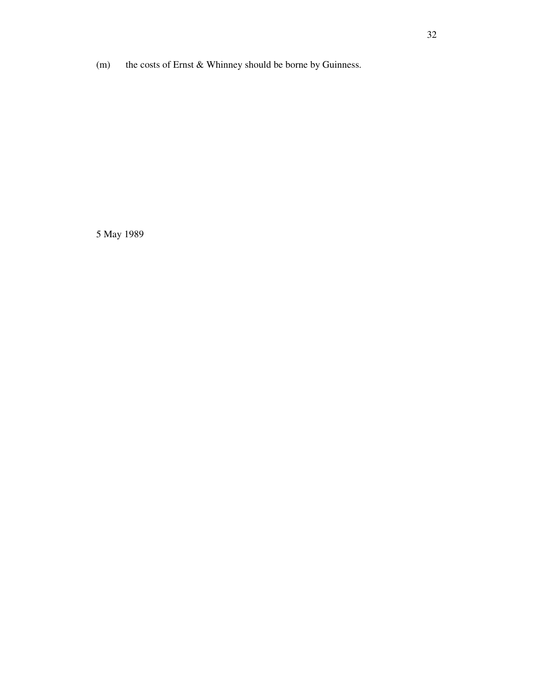(m) the costs of Ernst & Whinney should be borne by Guinness.

May 1989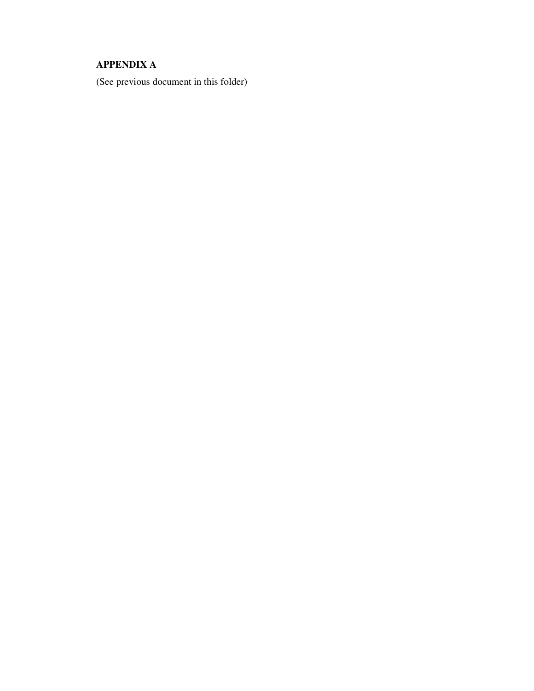## **APPENDIX A**

(See previous document in this folder)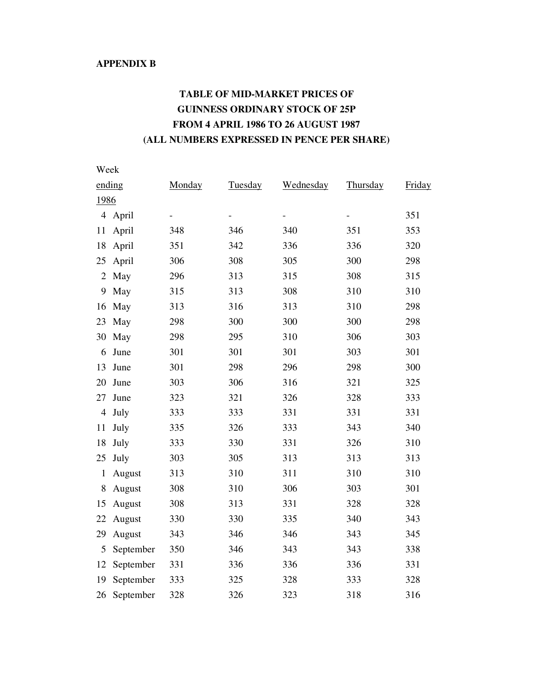## **TABLE OF MID-MARKET PRICES OF GUINNESS ORDINARY STOCK OF 25P FROM 4 APRIL 1986 TO 26 AUGUST 1987 (ALL NUMBERS EXPRESSED IN PENCE PER SHARE)**

| Week           |           |                          |                          |                          |                          |        |  |
|----------------|-----------|--------------------------|--------------------------|--------------------------|--------------------------|--------|--|
| ending         |           | Monday                   | Tuesday                  | Wednesday                | Thursday                 | Friday |  |
| 1986           |           |                          |                          |                          |                          |        |  |
| $\overline{4}$ | April     | $\overline{\phantom{0}}$ | $\overline{\phantom{0}}$ | $\overline{\phantom{0}}$ | $\overline{\phantom{0}}$ | 351    |  |
| 11             | April     | 348                      | 346                      | 340                      | 351                      | 353    |  |
| 18             | April     | 351                      | 342                      | 336                      | 336                      | 320    |  |
| 25             | April     | 306                      | 308                      | 305                      | 300                      | 298    |  |
| $\overline{2}$ | May       | 296                      | 313                      | 315                      | 308                      | 315    |  |
| 9              | May       | 315                      | 313                      | 308                      | 310                      | 310    |  |
| 16             | May       | 313                      | 316                      | 313                      | 310                      | 298    |  |
| 23             | May       | 298                      | 300                      | 300                      | 300                      | 298    |  |
| 30             | May       | 298                      | 295                      | 310                      | 306                      | 303    |  |
| 6              | June      | 301                      | 301                      | 301                      | 303                      | 301    |  |
| 13             | June      | 301                      | 298                      | 296                      | 298                      | 300    |  |
| 20             | June      | 303                      | 306                      | 316                      | 321                      | 325    |  |
| 27             | June      | 323                      | 321                      | 326                      | 328                      | 333    |  |
| $\overline{4}$ | July      | 333                      | 333                      | 331                      | 331                      | 331    |  |
| 11             | July      | 335                      | 326                      | 333                      | 343                      | 340    |  |
| 18             | July      | 333                      | 330                      | 331                      | 326                      | 310    |  |
| 25             | July      | 303                      | 305                      | 313                      | 313                      | 313    |  |
| 1              | August    | 313                      | 310                      | 311                      | 310                      | 310    |  |
| 8              | August    | 308                      | 310                      | 306                      | 303                      | 301    |  |
| 15             | August    | 308                      | 313                      | 331                      | 328                      | 328    |  |
| 22             | August    | 330                      | 330                      | 335                      | 340                      | 343    |  |
| 29             | August    | 343                      | 346                      | 346                      | 343                      | 345    |  |
| 5              | September | 350                      | 346                      | 343                      | 343                      | 338    |  |
| 12             | September | 331                      | 336                      | 336                      | 336                      | 331    |  |
| 19             | September | 333                      | 325                      | 328                      | 333                      | 328    |  |
| 26             | September | 328                      | 326                      | 323                      | 318                      | 316    |  |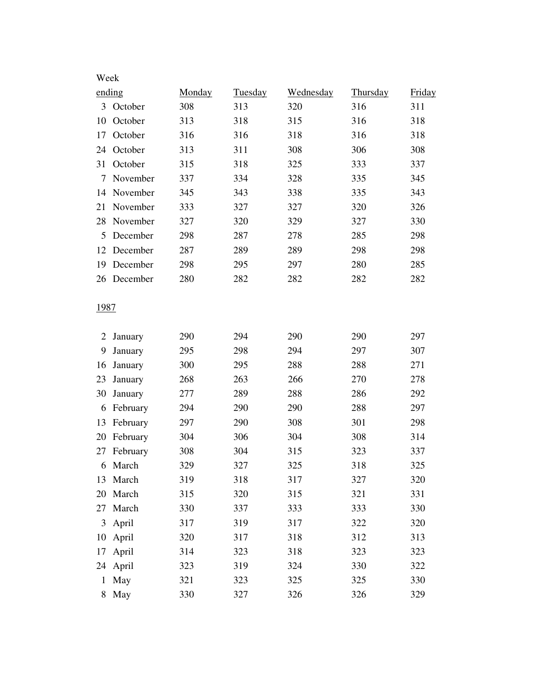# Week ending Monday Tuesday Wednesday Thursday Friday 3 October 308 313 320 316 311 10 October 313 318 315 316 318 17 October 316 316 318 316 318 24 October 313 311 308 306 308 31 October 315 318 325 333 337 7 November 337 334 328 335 345 14 November 345 343 338 335 343 21 November 333 327 327 320 326 28 November 327 320 329 327 330 5 December 298 287 278 285 298 12 December 287 289 289 298 298 19 December 298 295 297 280 285 26 December 280 282 282 282 282 1987 2 January 290 294 290 290 297 9 January 295 298 294 297 307 16 January 300 295 288 288 271 23 January 268 263 266 270 278 30 January 277 289 288 286 292 6 February 294 290 290 288 297 13 February 297 290 308 301 298 20 February 304 306 304 308 314 27 February 308 304 315 323 337 6 March 329 327 325 318 325 13 March 319 318 317 327 320 20 March 315 320 315 321 331 27 March 330 337 333 333 330 3 April 317 319 317 322 320 10 April 320 317 318 312 313 17 April 314 323 318 323 323 24 April 323 319 324 330 322 1 May 321 323 325 325 330

8 May 330 327 326 326 329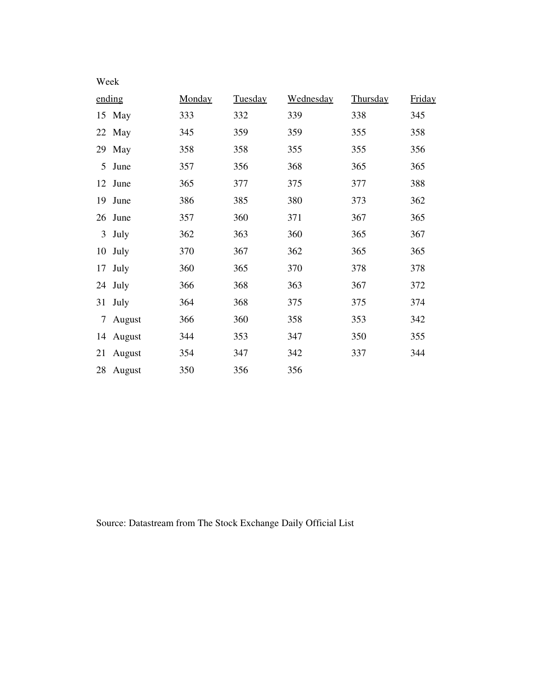| Week   |        |        |         |           |          |        |
|--------|--------|--------|---------|-----------|----------|--------|
| ending |        | Monday | Tuesday | Wednesday | Thursday | Friday |
| 15     | May    | 333    | 332     | 339       | 338      | 345    |
| 22     | May    | 345    | 359     | 359       | 355      | 358    |
| 29     | May    | 358    | 358     | 355       | 355      | 356    |
| 5      | June   | 357    | 356     | 368       | 365      | 365    |
| 12     | June   | 365    | 377     | 375       | 377      | 388    |
| 19     | June   | 386    | 385     | 380       | 373      | 362    |
| 26     | June   | 357    | 360     | 371       | 367      | 365    |
| 3      | July   | 362    | 363     | 360       | 365      | 367    |
| 10     | July   | 370    | 367     | 362       | 365      | 365    |
| 17     | July   | 360    | 365     | 370       | 378      | 378    |
| 24     | July   | 366    | 368     | 363       | 367      | 372    |
| 31     | July   | 364    | 368     | 375       | 375      | 374    |
| 7      | August | 366    | 360     | 358       | 353      | 342    |
| 14     | August | 344    | 353     | 347       | 350      | 355    |
| 21     | August | 354    | 347     | 342       | 337      | 344    |
| 28     | August | 350    | 356     | 356       |          |        |

Source: Datastream from The Stock Exchange Daily Official List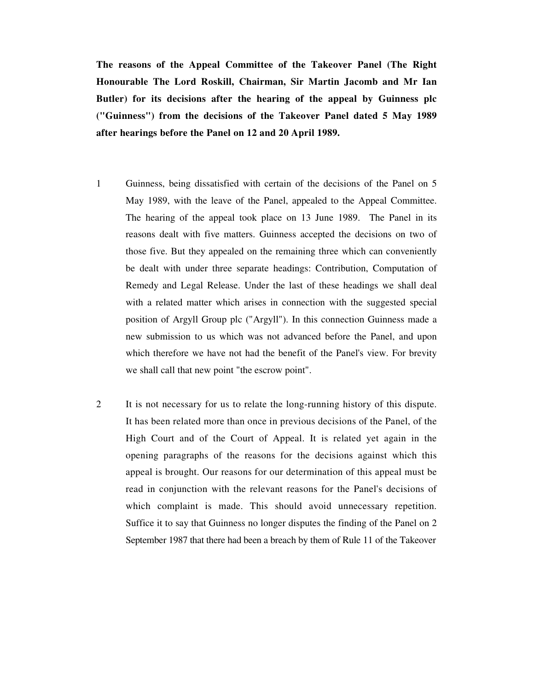**The reasons of the Appeal Committee of the Takeover Panel (The Right Honourable The Lord Roskill, Chairman, Sir Martin Jacomb and Mr Ian Butler) for its decisions after the hearing of the appeal by Guinness plc ("Guinness") from the decisions of the Takeover Panel dated 5 May 1989 after hearings before the Panel on 12 and 20 April 1989.**

- 1 Guinness, being dissatisfied with certain of the decisions of the Panel on 5 May 1989, with the leave of the Panel, appealed to the Appeal Committee. The hearing of the appeal took place on 13 June 1989. The Panel in its reasons dealt with five matters. Guinness accepted the decisions on two of those five. But they appealed on the remaining three which can conveniently be dealt with under three separate headings: Contribution, Computation of Remedy and Legal Release. Under the last of these headings we shall deal with a related matter which arises in connection with the suggested special position of Argyll Group plc ("Argyll"). In this connection Guinness made a new submission to us which was not advanced before the Panel, and upon which therefore we have not had the benefit of the Panel's view. For brevity we shall call that new point "the escrow point".
- 2 It is not necessary for us to relate the long-running history of this dispute. It has been related more than once in previous decisions of the Panel, of the High Court and of the Court of Appeal. It is related yet again in the opening paragraphs of the reasons for the decisions against which this appeal is brought. Our reasons for our determination of this appeal must be read in conjunction with the relevant reasons for the Panel's decisions of which complaint is made. This should avoid unnecessary repetition. Suffice it to say that Guinness no longer disputes the finding of the Panel on 2 September 1987 that there had been a breach by them of Rule 11 of the Takeover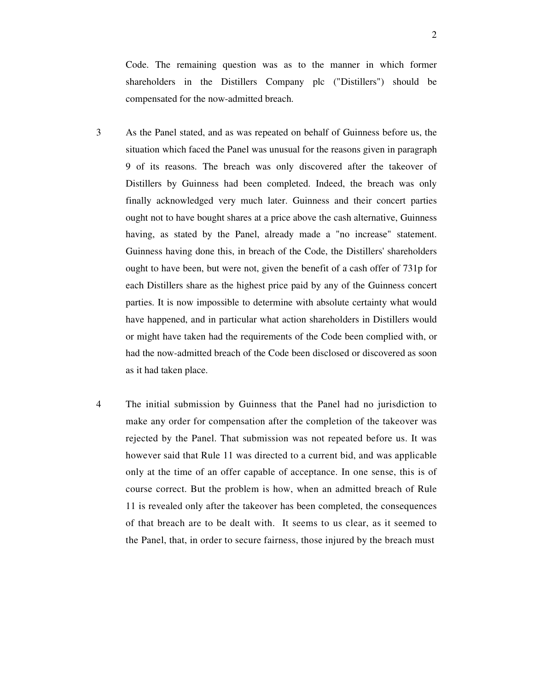Code. The remaining question was as to the manner in which former shareholders in the Distillers Company plc ("Distillers") should be compensated for the now-admitted breach.

- 3 As the Panel stated, and as was repeated on behalf of Guinness before us, the situation which faced the Panel was unusual for the reasons given in paragraph 9 of its reasons. The breach was only discovered after the takeover of Distillers by Guinness had been completed. Indeed, the breach was only finally acknowledged very much later. Guinness and their concert parties ought not to have bought shares at a price above the cash alternative, Guinness having, as stated by the Panel, already made a "no increase" statement. Guinness having done this, in breach of the Code, the Distillers' shareholders ought to have been, but were not, given the benefit of a cash offer of 731p for each Distillers share as the highest price paid by any of the Guinness concert parties. It is now impossible to determine with absolute certainty what would have happened, and in particular what action shareholders in Distillers would or might have taken had the requirements of the Code been complied with, or had the now-admitted breach of the Code been disclosed or discovered as soon as it had taken place.
- 4 The initial submission by Guinness that the Panel had no jurisdiction to make any order for compensation after the completion of the takeover was rejected by the Panel. That submission was not repeated before us. It was however said that Rule 11 was directed to a current bid, and was applicable only at the time of an offer capable of acceptance. In one sense, this is of course correct. But the problem is how, when an admitted breach of Rule 11 is revealed only after the takeover has been completed, the consequences of that breach are to be dealt with. It seems to us clear, as it seemed to the Panel, that, in order to secure fairness, those injured by the breach must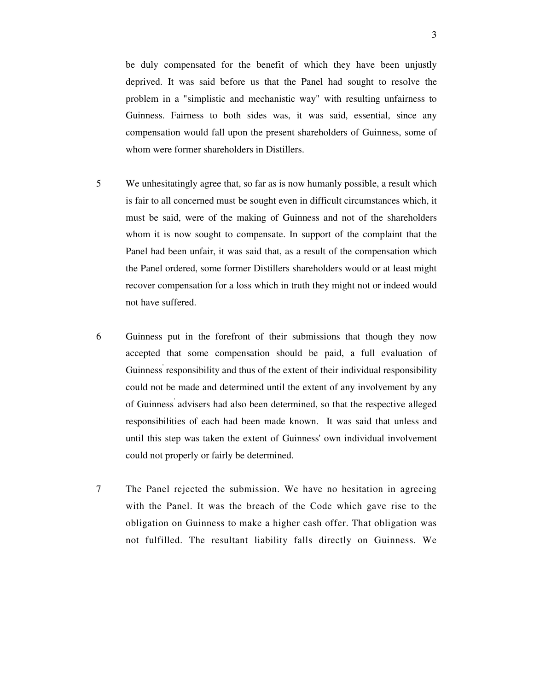be duly compensated for the benefit of which they have been unjustly deprived. It was said before us that the Panel had sought to resolve the problem in a "simplistic and mechanistic way" with resulting unfairness to Guinness. Fairness to both sides was, it was said, essential, since any compensation would fall upon the present shareholders of Guinness, some of whom were former shareholders in Distillers.

- 5 We unhesitatingly agree that, so far as is now humanly possible, a result which is fair to all concerned must be sought even in difficult circumstances which, it must be said, were of the making of Guinness and not of the shareholders whom it is now sought to compensate. In support of the complaint that the Panel had been unfair, it was said that, as a result of the compensation which the Panel ordered, some former Distillers shareholders would or at least might recover compensation for a loss which in truth they might not or indeed would not have suffered.
- 6 Guinness put in the forefront of their submissions that though they now accepted that some compensation should be paid, a full evaluation of Guinness ' responsibility and thus of the extent of their individual responsibility could not be made and determined until the extent of any involvement by any of Guinness ' advisers had also been determined, so that the respective alleged responsibilities of each had been made known. It was said that unless and until this step was taken the extent of Guinness' own individual involvement could not properly or fairly be determined.
- 7 The Panel rejected the submission. We have no hesitation in agreeing with the Panel. It was the breach of the Code which gave rise to the obligation on Guinness to make a higher cash offer. That obligation was not fulfilled. The resultant liability falls directly on Guinness. We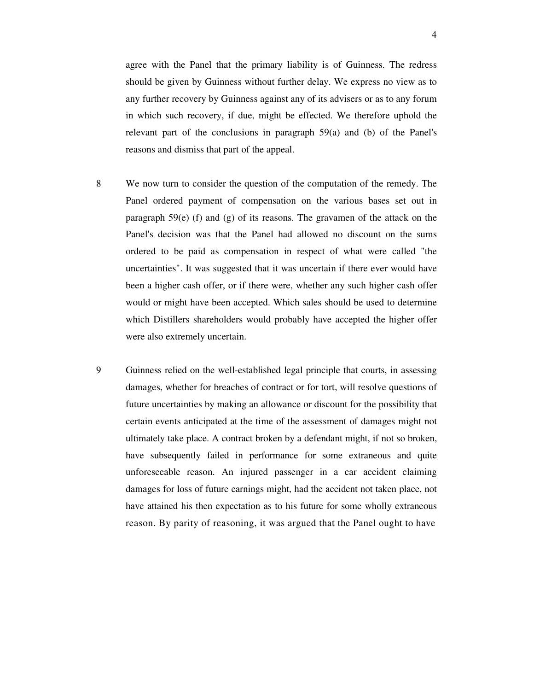agree with the Panel that the primary liability is of Guinness. The redress should be given by Guinness without further delay. We express no view as to any further recovery by Guinness against any of its advisers or as to any forum in which such recovery, if due, might be effected. We therefore uphold the relevant part of the conclusions in paragraph 59(a) and (b) of the Panel's reasons and dismiss that part of the appeal.

- 8 We now turn to consider the question of the computation of the remedy. The Panel ordered payment of compensation on the various bases set out in paragraph  $59(e)$  (f) and (g) of its reasons. The gravamen of the attack on the Panel's decision was that the Panel had allowed no discount on the sums ordered to be paid as compensation in respect of what were called "the uncertainties". It was suggested that it was uncertain if there ever would have been a higher cash offer, or if there were, whether any such higher cash offer would or might have been accepted. Which sales should be used to determine which Distillers shareholders would probably have accepted the higher offer were also extremely uncertain.
- 9 Guinness relied on the well-established legal principle that courts, in assessing damages, whether for breaches of contract or for tort, will resolve questions of future uncertainties by making an allowance or discount for the possibility that certain events anticipated at the time of the assessment of damages might not ultimately take place. A contract broken by a defendant might, if not so broken, have subsequently failed in performance for some extraneous and quite unforeseeable reason. An injured passenger in a car accident claiming damages for loss of future earnings might, had the accident not taken place, not have attained his then expectation as to his future for some wholly extraneous reason. By parity of reasoning, it was argued that the Panel ought to have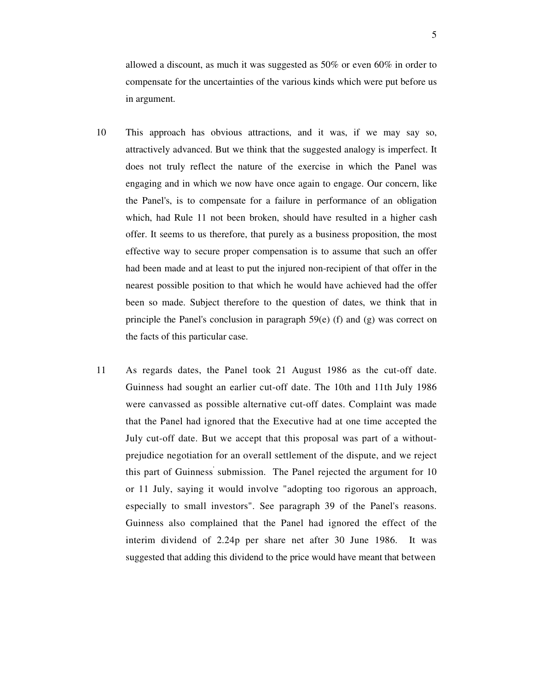allowed a discount, as much it was suggested as 50% or even 60% in order to compensate for the uncertainties of the various kinds which were put before us in argument.

- 10 This approach has obvious attractions, and it was, if we may say so, attractively advanced. But we think that the suggested analogy is imperfect. It does not truly reflect the nature of the exercise in which the Panel was engaging and in which we now have once again to engage. Our concern, like the Panel's, is to compensate for a failure in performance of an obligation which, had Rule 11 not been broken, should have resulted in a higher cash offer. It seems to us therefore, that purely as a business proposition, the most effective way to secure proper compensation is to assume that such an offer had been made and at least to put the injured non-recipient of that offer in the nearest possible position to that which he would have achieved had the offer been so made. Subject therefore to the question of dates, we think that in principle the Panel's conclusion in paragraph  $59(e)$  (f) and (g) was correct on the facts of this particular case.
- 11 As regards dates, the Panel took 21 August 1986 as the cut-off date. Guinness had sought an earlier cut-off date. The 10th and 11th July 1986 were canvassed as possible alternative cut-off dates. Complaint was made that the Panel had ignored that the Executive had at one time accepted the July cut-off date. But we accept that this proposal was part of a withoutprejudice negotiation for an overall settlement of the dispute, and we reject this part of Guinness submission. The Panel rejected the argument for 10 or 11 July, saying it would involve "adopting too rigorous an approach, especially to small investors". See paragraph 39 of the Panel's reasons. Guinness also complained that the Panel had ignored the effect of the interim dividend of 2.24p per share net after 30 June 1986. It was suggested that adding this dividend to the price would have meant that between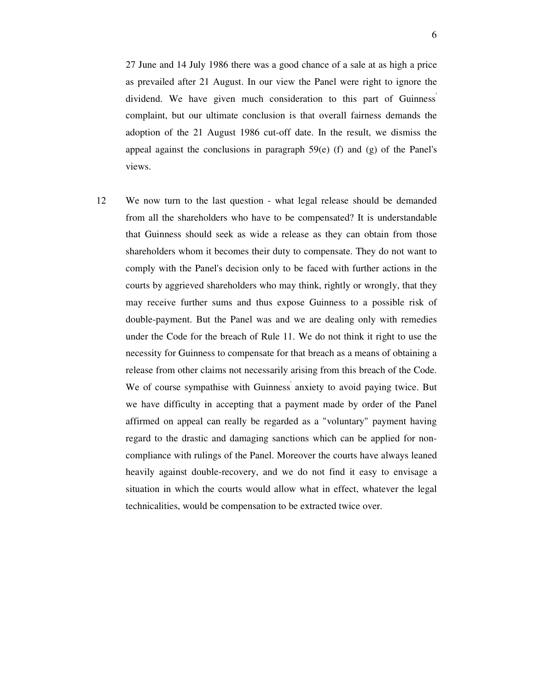27 June and 14 July 1986 there was a good chance of a sale at as high a price as prevailed after 21 August. In our view the Panel were right to ignore the dividend. We have given much consideration to this part of Guinness complaint, but our ultimate conclusion is that overall fairness demands the adoption of the 21 August 1986 cut-off date. In the result, we dismiss the appeal against the conclusions in paragraph  $59(e)$  (f) and (g) of the Panel's views.

12 We now turn to the last question - what legal release should be demanded from all the shareholders who have to be compensated? It is understandable that Guinness should seek as wide a release as they can obtain from those shareholders whom it becomes their duty to compensate. They do not want to comply with the Panel's decision only to be faced with further actions in the courts by aggrieved shareholders who may think, rightly or wrongly, that they may receive further sums and thus expose Guinness to a possible risk of double-payment. But the Panel was and we are dealing only with remedies under the Code for the breach of Rule 11. We do not think it right to use the necessity for Guinness to compensate for that breach as a means of obtaining a release from other claims not necessarily arising from this breach of the Code. We of course sympathise with Guinness ' anxiety to avoid paying twice. But we have difficulty in accepting that a payment made by order of the Panel affirmed on appeal can really be regarded as a "voluntary" payment having regard to the drastic and damaging sanctions which can be applied for noncompliance with rulings of the Panel. Moreover the courts have always leaned heavily against double-recovery, and we do not find it easy to envisage a situation in which the courts would allow what in effect, whatever the legal technicalities, would be compensation to be extracted twice over.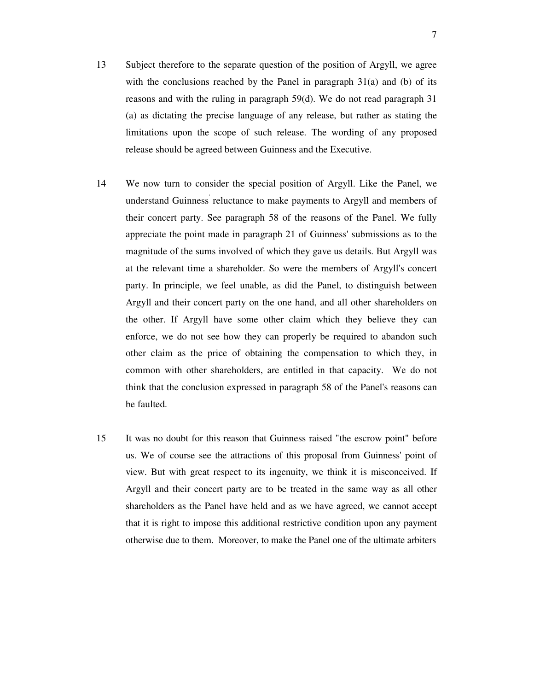- 13 Subject therefore to the separate question of the position of Argyll, we agree with the conclusions reached by the Panel in paragraph  $31(a)$  and (b) of its reasons and with the ruling in paragraph 59(d). We do not read paragraph 31 (a) as dictating the precise language of any release, but rather as stating the limitations upon the scope of such release. The wording of any proposed release should be agreed between Guinness and the Executive.
- 14 We now turn to consider the special position of Argyll. Like the Panel, we understand Guinness ' reluctance to make payments to Argyll and members of their concert party. See paragraph 58 of the reasons of the Panel. We fully appreciate the point made in paragraph 21 of Guinness' submissions as to the magnitude of the sums involved of which they gave us details. But Argyll was at the relevant time a shareholder. So were the members of Argyll's concert party. In principle, we feel unable, as did the Panel, to distinguish between Argyll and their concert party on the one hand, and all other shareholders on the other. If Argyll have some other claim which they believe they can enforce, we do not see how they can properly be required to abandon such other claim as the price of obtaining the compensation to which they, in common with other shareholders, are entitled in that capacity. We do not think that the conclusion expressed in paragraph 58 of the Panel's reasons can be faulted.
- 15 It was no doubt for this reason that Guinness raised "the escrow point" before us. We of course see the attractions of this proposal from Guinness' point of view. But with great respect to its ingenuity, we think it is misconceived. If Argyll and their concert party are to be treated in the same way as all other shareholders as the Panel have held and as we have agreed, we cannot accept that it is right to impose this additional restrictive condition upon any payment otherwise due to them. Moreover, to make the Panel one of the ultimate arbiters